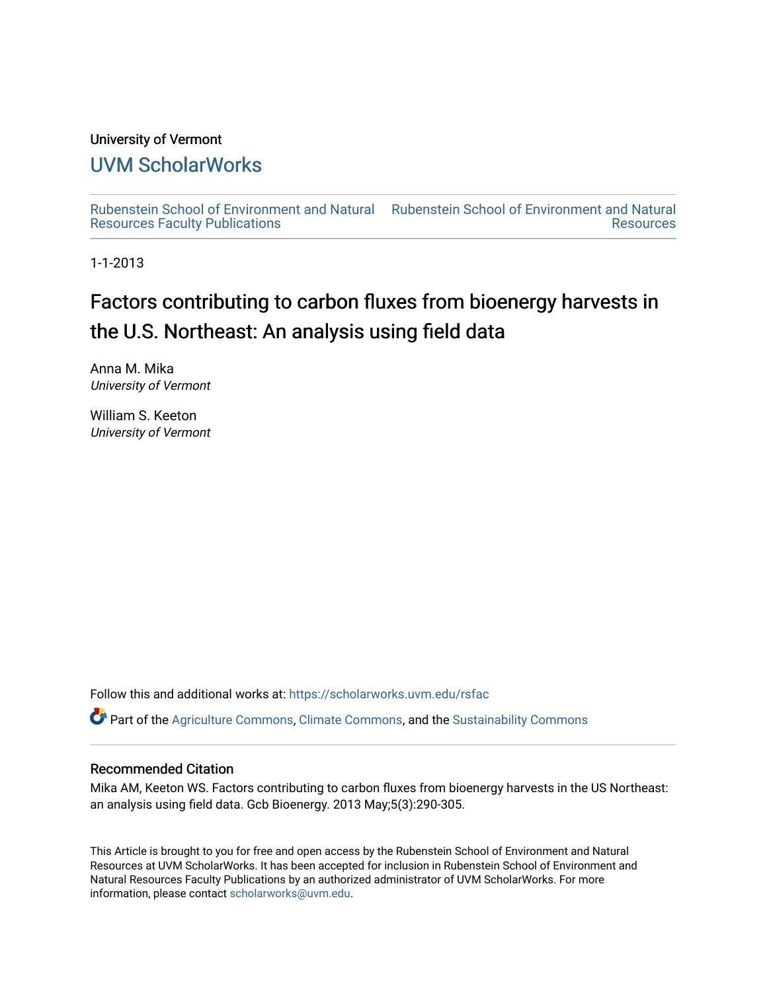### University of Vermont

### [UVM ScholarWorks](https://scholarworks.uvm.edu/)

[Rubenstein School of Environment and Natural](https://scholarworks.uvm.edu/rsfac) [Rubenstein School of Environment and Natural](https://scholarworks.uvm.edu/rs)  [Resources Faculty Publications](https://scholarworks.uvm.edu/rsfac)  **Resources** 

1-1-2013

# Factors contributing to carbon fluxes from bioenergy harvests in the U.S. Northeast: An analysis using field data

Anna M. Mika University of Vermont

William S. Keeton University of Vermont

Follow this and additional works at: [https://scholarworks.uvm.edu/rsfac](https://scholarworks.uvm.edu/rsfac?utm_source=scholarworks.uvm.edu%2Frsfac%2F124&utm_medium=PDF&utm_campaign=PDFCoverPages) 

 $\bullet$  Part of the [Agriculture Commons](http://network.bepress.com/hgg/discipline/1076?utm_source=scholarworks.uvm.edu%2Frsfac%2F124&utm_medium=PDF&utm_campaign=PDFCoverPages), [Climate Commons](http://network.bepress.com/hgg/discipline/188?utm_source=scholarworks.uvm.edu%2Frsfac%2F124&utm_medium=PDF&utm_campaign=PDFCoverPages), and the Sustainability Commons

#### Recommended Citation

Mika AM, Keeton WS. Factors contributing to carbon fluxes from bioenergy harvests in the US Northeast: an analysis using field data. Gcb Bioenergy. 2013 May;5(3):290-305.

This Article is brought to you for free and open access by the Rubenstein School of Environment and Natural Resources at UVM ScholarWorks. It has been accepted for inclusion in Rubenstein School of Environment and Natural Resources Faculty Publications by an authorized administrator of UVM ScholarWorks. For more information, please contact [scholarworks@uvm.edu.](mailto:scholarworks@uvm.edu)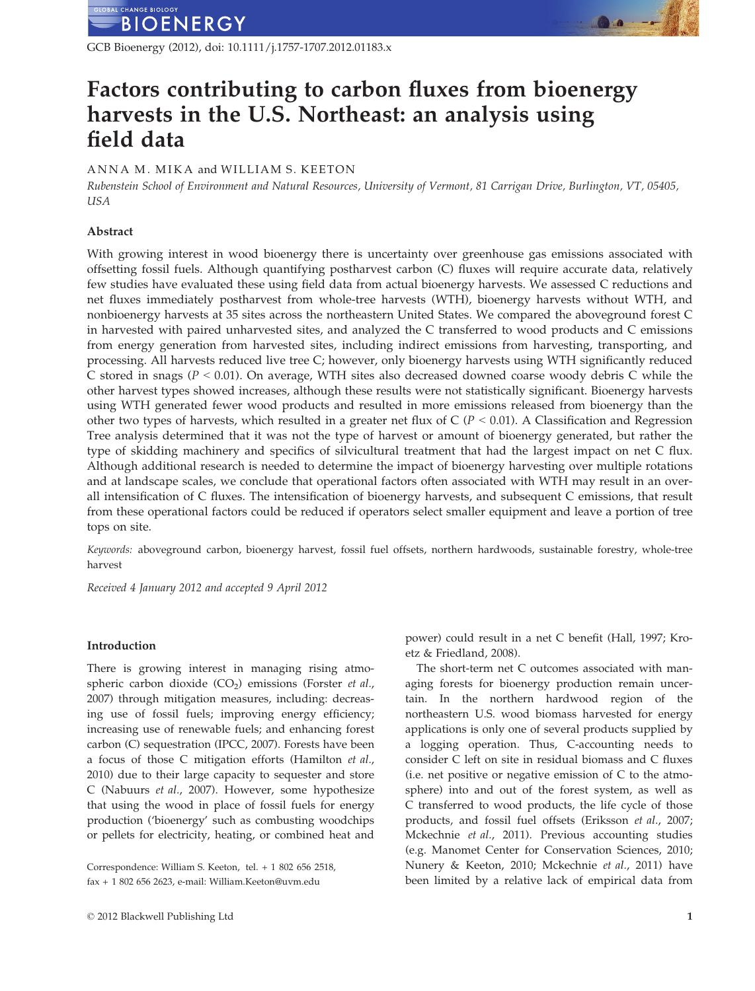

GCB Bioenergy (2012), doi: 10.1111/j.1757-1707.2012.01183.x

## Factors contributing to carbon fluxes from bioenergy harvests in the U.S. Northeast: an analysis using field data

#### A N N A M A M I K A and WILLIAM S. KEETON

Rubenstein School of Environment and Natural Resources, University of Vermont, 81 Carrigan Drive, Burlington, VT, 05405, USA

#### Abstract

With growing interest in wood bioenergy there is uncertainty over greenhouse gas emissions associated with offsetting fossil fuels. Although quantifying postharvest carbon (C) fluxes will require accurate data, relatively few studies have evaluated these using field data from actual bioenergy harvests. We assessed C reductions and net fluxes immediately postharvest from whole-tree harvests (WTH), bioenergy harvests without WTH, and nonbioenergy harvests at 35 sites across the northeastern United States. We compared the aboveground forest C in harvested with paired unharvested sites, and analyzed the C transferred to wood products and C emissions from energy generation from harvested sites, including indirect emissions from harvesting, transporting, and processing. All harvests reduced live tree C; however, only bioenergy harvests using WTH significantly reduced C stored in snags ( $P < 0.01$ ). On average, WTH sites also decreased downed coarse woody debris C while the other harvest types showed increases, although these results were not statistically significant. Bioenergy harvests using WTH generated fewer wood products and resulted in more emissions released from bioenergy than the other two types of harvests, which resulted in a greater net flux of C ( $P < 0.01$ ). A Classification and Regression Tree analysis determined that it was not the type of harvest or amount of bioenergy generated, but rather the type of skidding machinery and specifics of silvicultural treatment that had the largest impact on net C flux. Although additional research is needed to determine the impact of bioenergy harvesting over multiple rotations and at landscape scales, we conclude that operational factors often associated with WTH may result in an overall intensification of C fluxes. The intensification of bioenergy harvests, and subsequent C emissions, that result from these operational factors could be reduced if operators select smaller equipment and leave a portion of tree tops on site.

Keywords: aboveground carbon, bioenergy harvest, fossil fuel offsets, northern hardwoods, sustainable forestry, whole-tree harvest

Received 4 January 2012 and accepted 9 April 2012

#### Introduction

There is growing interest in managing rising atmospheric carbon dioxide  $(CO<sub>2</sub>)$  emissions (Forster *et al.*, 2007) through mitigation measures, including: decreasing use of fossil fuels; improving energy efficiency; increasing use of renewable fuels; and enhancing forest carbon (C) sequestration (IPCC, 2007). Forests have been a focus of those C mitigation efforts (Hamilton et al., 2010) due to their large capacity to sequester and store C (Nabuurs et al., 2007). However, some hypothesize that using the wood in place of fossil fuels for energy production ('bioenergy' such as combusting woodchips or pellets for electricity, heating, or combined heat and

Correspondence: William S. Keeton, tel. + 1 802 656 2518, fax + 1 802 656 2623, e-mail: William.Keeton@uvm.edu

power) could result in a net C benefit (Hall, 1997; Kroetz & Friedland, 2008).

The short-term net C outcomes associated with managing forests for bioenergy production remain uncertain. In the northern hardwood region of the northeastern U.S. wood biomass harvested for energy applications is only one of several products supplied by a logging operation. Thus, C-accounting needs to consider C left on site in residual biomass and C fluxes (i.e. net positive or negative emission of C to the atmosphere) into and out of the forest system, as well as C transferred to wood products, the life cycle of those products, and fossil fuel offsets (Eriksson et al., 2007; Mckechnie et al., 2011). Previous accounting studies (e.g. Manomet Center for Conservation Sciences, 2010; Nunery & Keeton, 2010; Mckechnie et al., 2011) have been limited by a relative lack of empirical data from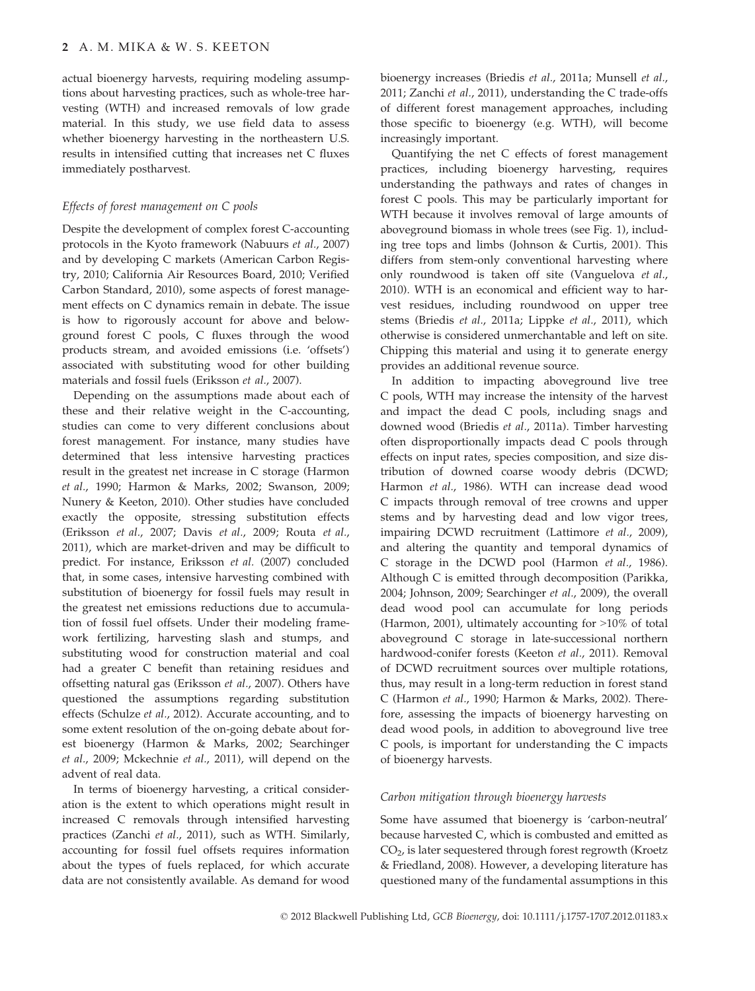actual bioenergy harvests, requiring modeling assumptions about harvesting practices, such as whole-tree harvesting (WTH) and increased removals of low grade material. In this study, we use field data to assess whether bioenergy harvesting in the northeastern U.S. results in intensified cutting that increases net C fluxes immediately postharvest.

#### Effects of forest management on C pools

Despite the development of complex forest C-accounting protocols in the Kyoto framework (Nabuurs et al., 2007) and by developing C markets (American Carbon Registry, 2010; California Air Resources Board, 2010; Verified Carbon Standard, 2010), some aspects of forest management effects on C dynamics remain in debate. The issue is how to rigorously account for above and belowground forest C pools, C fluxes through the wood products stream, and avoided emissions (i.e. 'offsets') associated with substituting wood for other building materials and fossil fuels (Eriksson et al., 2007).

Depending on the assumptions made about each of these and their relative weight in the C-accounting, studies can come to very different conclusions about forest management. For instance, many studies have determined that less intensive harvesting practices result in the greatest net increase in C storage (Harmon et al., 1990; Harmon & Marks, 2002; Swanson, 2009; Nunery & Keeton, 2010). Other studies have concluded exactly the opposite, stressing substitution effects (Eriksson et al., 2007; Davis et al., 2009; Routa et al., 2011), which are market-driven and may be difficult to predict. For instance, Eriksson et al. (2007) concluded that, in some cases, intensive harvesting combined with substitution of bioenergy for fossil fuels may result in the greatest net emissions reductions due to accumulation of fossil fuel offsets. Under their modeling framework fertilizing, harvesting slash and stumps, and substituting wood for construction material and coal had a greater C benefit than retaining residues and offsetting natural gas (Eriksson et al., 2007). Others have questioned the assumptions regarding substitution effects (Schulze et al., 2012). Accurate accounting, and to some extent resolution of the on-going debate about forest bioenergy (Harmon & Marks, 2002; Searchinger et al., 2009; Mckechnie et al., 2011), will depend on the advent of real data.

In terms of bioenergy harvesting, a critical consideration is the extent to which operations might result in increased C removals through intensified harvesting practices (Zanchi et al., 2011), such as WTH. Similarly, accounting for fossil fuel offsets requires information about the types of fuels replaced, for which accurate data are not consistently available. As demand for wood bioenergy increases (Briedis et al., 2011a; Munsell et al., 2011; Zanchi et al., 2011), understanding the C trade-offs of different forest management approaches, including those specific to bioenergy (e.g. WTH), will become increasingly important.

Quantifying the net C effects of forest management practices, including bioenergy harvesting, requires understanding the pathways and rates of changes in forest C pools. This may be particularly important for WTH because it involves removal of large amounts of aboveground biomass in whole trees (see Fig. 1), including tree tops and limbs (Johnson & Curtis, 2001). This differs from stem-only conventional harvesting where only roundwood is taken off site (Vanguelova et al., 2010). WTH is an economical and efficient way to harvest residues, including roundwood on upper tree stems (Briedis et al., 2011a; Lippke et al., 2011), which otherwise is considered unmerchantable and left on site. Chipping this material and using it to generate energy provides an additional revenue source.

In addition to impacting aboveground live tree C pools, WTH may increase the intensity of the harvest and impact the dead C pools, including snags and downed wood (Briedis et al., 2011a). Timber harvesting often disproportionally impacts dead C pools through effects on input rates, species composition, and size distribution of downed coarse woody debris (DCWD; Harmon et al., 1986). WTH can increase dead wood C impacts through removal of tree crowns and upper stems and by harvesting dead and low vigor trees, impairing DCWD recruitment (Lattimore et al., 2009), and altering the quantity and temporal dynamics of C storage in the DCWD pool (Harmon et al., 1986). Although C is emitted through decomposition (Parikka, 2004; Johnson, 2009; Searchinger et al., 2009), the overall dead wood pool can accumulate for long periods (Harmon, 2001), ultimately accounting for >10% of total aboveground C storage in late-successional northern hardwood-conifer forests (Keeton et al., 2011). Removal of DCWD recruitment sources over multiple rotations, thus, may result in a long-term reduction in forest stand C (Harmon et al., 1990; Harmon & Marks, 2002). Therefore, assessing the impacts of bioenergy harvesting on dead wood pools, in addition to aboveground live tree C pools, is important for understanding the C impacts of bioenergy harvests.

#### Carbon mitigation through bioenergy harvests

Some have assumed that bioenergy is 'carbon-neutral' because harvested C, which is combusted and emitted as CO2, is later sequestered through forest regrowth (Kroetz & Friedland, 2008). However, a developing literature has questioned many of the fundamental assumptions in this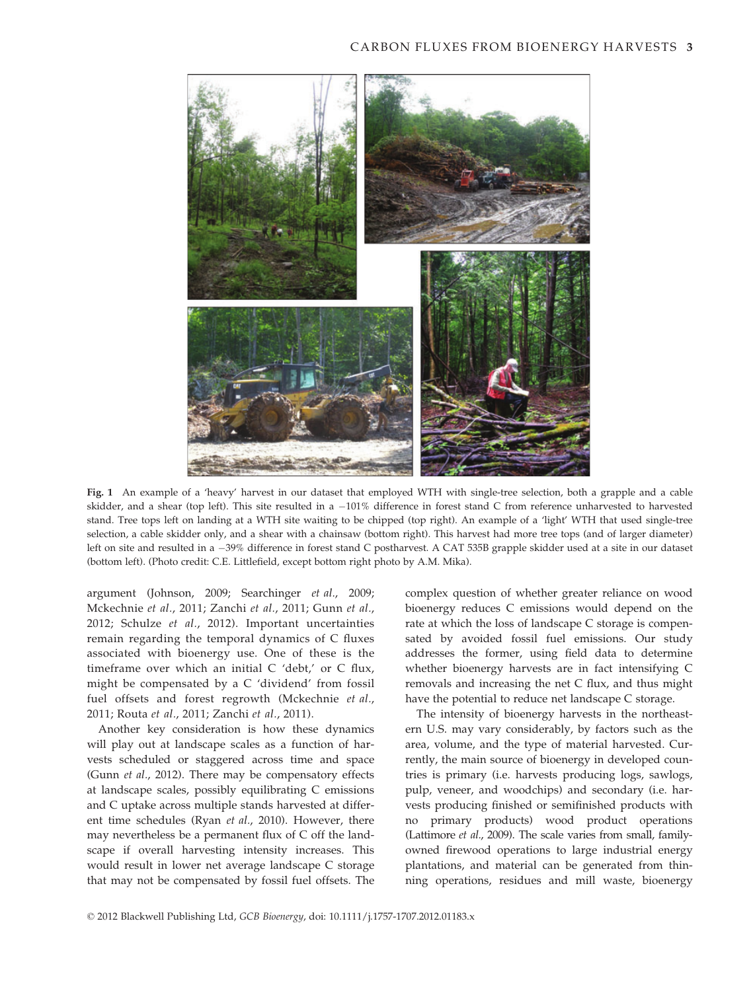

Fig. 1 An example of a 'heavy' harvest in our dataset that employed WTH with single-tree selection, both a grapple and a cable skidder, and a shear (top left). This site resulted in a -101% difference in forest stand C from reference unharvested to harvested stand. Tree tops left on landing at a WTH site waiting to be chipped (top right). An example of a 'light' WTH that used single-tree selection, a cable skidder only, and a shear with a chainsaw (bottom right). This harvest had more tree tops (and of larger diameter) left on site and resulted in a -39% difference in forest stand C postharvest. A CAT 535B grapple skidder used at a site in our dataset (bottom left). (Photo credit: C.E. Littlefield, except bottom right photo by A.M. Mika).

argument (Johnson, 2009; Searchinger et al., 2009; Mckechnie et al., 2011; Zanchi et al., 2011; Gunn et al., 2012; Schulze et al., 2012). Important uncertainties remain regarding the temporal dynamics of C fluxes associated with bioenergy use. One of these is the timeframe over which an initial C 'debt,' or C flux, might be compensated by a C 'dividend' from fossil fuel offsets and forest regrowth (Mckechnie et al., 2011; Routa et al., 2011; Zanchi et al., 2011).

Another key consideration is how these dynamics will play out at landscape scales as a function of harvests scheduled or staggered across time and space (Gunn et al., 2012). There may be compensatory effects at landscape scales, possibly equilibrating C emissions and C uptake across multiple stands harvested at different time schedules (Ryan et al., 2010). However, there may nevertheless be a permanent flux of C off the landscape if overall harvesting intensity increases. This would result in lower net average landscape C storage that may not be compensated by fossil fuel offsets. The complex question of whether greater reliance on wood bioenergy reduces C emissions would depend on the rate at which the loss of landscape C storage is compensated by avoided fossil fuel emissions. Our study addresses the former, using field data to determine whether bioenergy harvests are in fact intensifying C removals and increasing the net C flux, and thus might have the potential to reduce net landscape C storage.

The intensity of bioenergy harvests in the northeastern U.S. may vary considerably, by factors such as the area, volume, and the type of material harvested. Currently, the main source of bioenergy in developed countries is primary (i.e. harvests producing logs, sawlogs, pulp, veneer, and woodchips) and secondary (i.e. harvests producing finished or semifinished products with no primary products) wood product operations (Lattimore et al., 2009). The scale varies from small, familyowned firewood operations to large industrial energy plantations, and material can be generated from thinning operations, residues and mill waste, bioenergy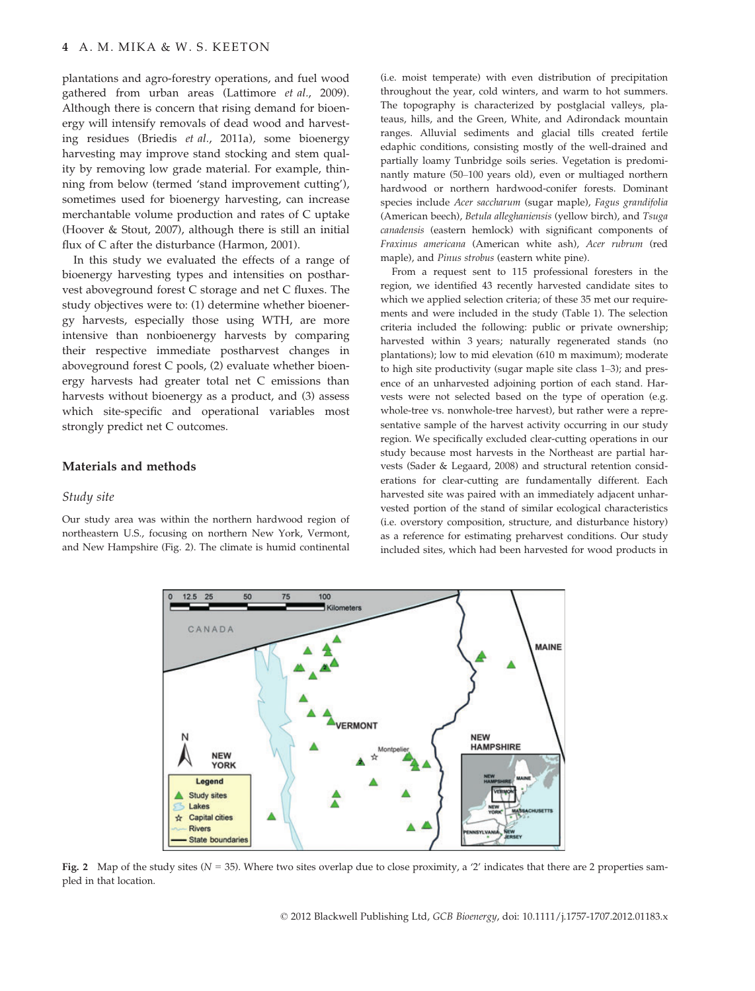plantations and agro-forestry operations, and fuel wood gathered from urban areas (Lattimore et al., 2009). Although there is concern that rising demand for bioenergy will intensify removals of dead wood and harvesting residues (Briedis et al., 2011a), some bioenergy harvesting may improve stand stocking and stem quality by removing low grade material. For example, thinning from below (termed 'stand improvement cutting'), sometimes used for bioenergy harvesting, can increase merchantable volume production and rates of C uptake (Hoover & Stout, 2007), although there is still an initial flux of C after the disturbance (Harmon, 2001).

In this study we evaluated the effects of a range of bioenergy harvesting types and intensities on postharvest aboveground forest C storage and net C fluxes. The study objectives were to: (1) determine whether bioenergy harvests, especially those using WTH, are more intensive than nonbioenergy harvests by comparing their respective immediate postharvest changes in aboveground forest C pools, (2) evaluate whether bioenergy harvests had greater total net C emissions than harvests without bioenergy as a product, and (3) assess which site-specific and operational variables most strongly predict net C outcomes.

#### Materials and methods

#### Study site

Our study area was within the northern hardwood region of northeastern U.S., focusing on northern New York, Vermont, and New Hampshire (Fig. 2). The climate is humid continental (i.e. moist temperate) with even distribution of precipitation throughout the year, cold winters, and warm to hot summers. The topography is characterized by postglacial valleys, plateaus, hills, and the Green, White, and Adirondack mountain ranges. Alluvial sediments and glacial tills created fertile edaphic conditions, consisting mostly of the well-drained and partially loamy Tunbridge soils series. Vegetation is predominantly mature (50–100 years old), even or multiaged northern hardwood or northern hardwood-conifer forests. Dominant species include Acer saccharum (sugar maple), Fagus grandifolia (American beech), Betula alleghaniensis (yellow birch), and Tsuga canadensis (eastern hemlock) with significant components of Fraxinus americana (American white ash), Acer rubrum (red maple), and Pinus strobus (eastern white pine).

From a request sent to 115 professional foresters in the region, we identified 43 recently harvested candidate sites to which we applied selection criteria; of these 35 met our requirements and were included in the study (Table 1). The selection criteria included the following: public or private ownership; harvested within 3 years; naturally regenerated stands (no plantations); low to mid elevation (610 m maximum); moderate to high site productivity (sugar maple site class 1–3); and presence of an unharvested adjoining portion of each stand. Harvests were not selected based on the type of operation (e.g. whole-tree vs. nonwhole-tree harvest), but rather were a representative sample of the harvest activity occurring in our study region. We specifically excluded clear-cutting operations in our study because most harvests in the Northeast are partial harvests (Sader & Legaard, 2008) and structural retention considerations for clear-cutting are fundamentally different. Each harvested site was paired with an immediately adjacent unharvested portion of the stand of similar ecological characteristics (i.e. overstory composition, structure, and disturbance history) as a reference for estimating preharvest conditions. Our study included sites, which had been harvested for wood products in



Fig. 2 Map of the study sites ( $N = 35$ ). Where two sites overlap due to close proximity, a '2' indicates that there are 2 properties sampled in that location.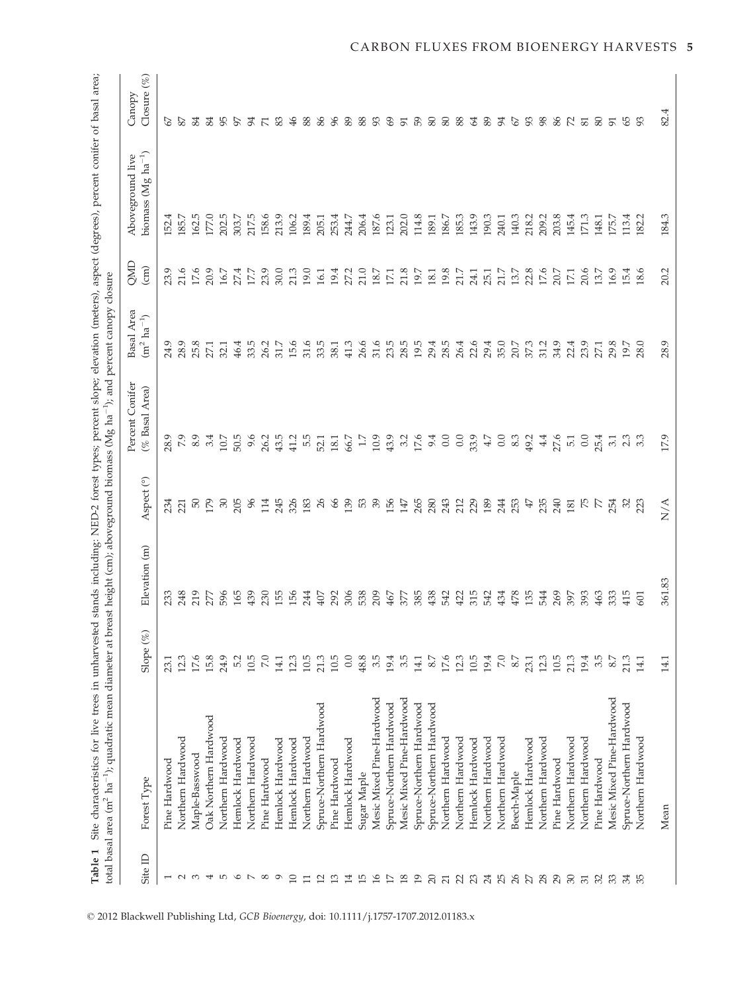|                      | total basal area (m <sup>2</sup> ha <sup>-1</sup> ); quadratic mean diameter at breast height (cm); aboveground biomass (Mg ha <sup>-1</sup> ); and percent canopy closure |                |               |                                   | Percent Conifer  | Basal Area         | <b>END</b>      | Aboveground live                  | Canopy                   |
|----------------------|----------------------------------------------------------------------------------------------------------------------------------------------------------------------------|----------------|---------------|-----------------------------------|------------------|--------------------|-----------------|-----------------------------------|--------------------------|
| $\mathbf{r}$<br>Site | Forest Type                                                                                                                                                                | Slope $(%$     | Elevation (m) | $\widehat{\mathcal{C}}$<br>Aspect | (% Basal Area)   | $(m^2 \, ha^{-1})$ | $\binom{cm}{c}$ | biomass ( $Mg$ ha <sup>-1</sup> ) | Closure (%)              |
|                      | Pine Hardwood                                                                                                                                                              | 23.1           | 233           | 234                               | 28.9             | 24.9               | 23.9            | 152.                              | 67                       |
| $\sim$               | Northern Hardwood                                                                                                                                                          | 12.3           | 248           | 221                               | 7.9              | 28.9               | 21.6            | 185.7                             | 87                       |
| $\infty$             | Maple-Basswood                                                                                                                                                             | 17.6           | 219           | 50                                | 8.9              | 25.8               | 17.6            | 162.5                             | 84                       |
| 4                    | Oak Northern Hardwood                                                                                                                                                      | 15.8           | 277           | 179                               | 3.4              | 27.1               | 20.9            | 177.0                             | 84                       |
| 5                    | Northern Hardwood                                                                                                                                                          | 24.9           | 596           | $\mathcal{S}$                     | 10.7             | 32.1               | 16.7            | 202.5                             | 95                       |
| $\circ$              | Hemlock Hardwood                                                                                                                                                           | 5.2            | 165           | 205                               | 50.5             | 46.4               | 27.4            | 303.7                             | 57                       |
| $\overline{a}$       | Northern Hardwood                                                                                                                                                          | 10.5           | 439           | 96                                | 9.6              | 33.5               | 17.7            | 217.5                             | 94                       |
| $^{\circ}$           | Pine Hardwood                                                                                                                                                              | $\overline{2}$ | 230           | 114                               | 26.2             | 26.2               | 23.9            | 158.6                             | $\overline{\phantom{0}}$ |
| $\circ$              | Hemlock Hardwood                                                                                                                                                           | 14.1           | 155           | 245                               | 43.5             | 31.7               | 30.0            | 213.9                             | 83                       |
| 10                   | Hemlock Hardwood                                                                                                                                                           | 12.3           | 156           | 326                               | 41.2             | 15.6               | 21.3            | 106.2                             | 46                       |
| $\Box$               | Northern Hardwood                                                                                                                                                          | 10.5           | 244           | 183                               | 5.5              | 31.6               | 19.0            | 189.4                             | 88                       |
| 12                   | Spruce-Northern Hardwood                                                                                                                                                   | 21.3           | 407           | $\sqrt{26}$                       | 52.1             | 33.5               | 16.1            | 205.1                             | 86                       |
| 13                   | Pine Hardwood                                                                                                                                                              | 10.5           | 292           | 66                                | 18.1             | 38.1               | 19.4            | 253.4                             | 96                       |
| 14                   | Hemlock Hardwood                                                                                                                                                           | 0.0            | 306           | 139                               | 66.7             | 41.3               | 27.2            | 244.7                             | 89                       |
| 15                   | Sugar Maple                                                                                                                                                                | 48.8           | 538           | R,                                | 1.7              | 26.6               | 21.0            | 206.4                             | 88                       |
| 16                   | Mesic Mixed Pine-Hardwood                                                                                                                                                  | 3.5            | 209           | $\mathcal{S}^{\mathcal{S}}$       | 10.9             | 31.6               | 18.7            | 187.6                             | 93                       |
| 17                   | Spruce-Northern Hardwood                                                                                                                                                   | 19.4           | 467           | 156                               | 43.9             | 23.5               | 17.1            | 123.1                             | 69                       |
| 18                   | Mesic Mixed Pine-Hardwood                                                                                                                                                  | 35             | 377           | 147                               | 3.2              | 28.5               | 21.8            | 202.0                             | 51                       |
| 19                   | Spruce-Northern Hardwood                                                                                                                                                   | 14.1           | 385           | 265                               | 17.6             | 19.5               | 19.7            | 114.8                             | 59                       |
| 20                   | Spruce-Northern Hardwood                                                                                                                                                   | 8.7            | 438           | 280                               | 9.4              | 29.4               | 18.1            | 189.1                             | 80                       |
| $\overline{21}$      | Northern Hardwood                                                                                                                                                          | 17.6           | 542           | 243                               | 0.0              | 28.5               | 19.8            | 186.7                             | 88<br>88                 |
|                      | Northern Hardwood                                                                                                                                                          | 12.3           | 422           | 212                               | 0.0              | 26.4               | 21.7            | 185.3                             |                          |
| 23 24                | Hemlock Hardwood                                                                                                                                                           | 10.5           | 315           | 229                               | 33.9             | 22.6               | 24.1            | 143.9                             | $\mathcal{L}$            |
|                      | Northern Hardwood                                                                                                                                                          | 19.4           | 542           | 189                               | 4.7              | 29.4               | 25.1            | 190.3                             | 89                       |
| 25 25 28             | Northern Hardwood                                                                                                                                                          | $\overline{2}$ | 434           | 244                               | $0.0$<br>8.3     | 35.0               | 21.7            | 240.1                             | 94                       |
|                      | Beech-Maple                                                                                                                                                                | 8.7            | 478           | 253                               |                  | 20.7               | 13.7            | 140.3                             | <b>67</b><br>93          |
|                      | Hemlock Hardwood                                                                                                                                                           | 23.1           | 135           | $47\,$                            | 49.2             | 37.3               | 22.8            | 218.2                             |                          |
|                      | Northern Hardwood                                                                                                                                                          | 12.3           | 544           | 235                               | 4.4              | 31.2               | 17.6            | 209.2                             | 98                       |
|                      | Pine Hardwood                                                                                                                                                              | 10.5           | 269           | 240                               | 27.6             | 34.9               | 20.7            | 203.8                             | 86 R                     |
| $2937$               | Northern Hardwood                                                                                                                                                          | 21.3           | 397           | 181                               | $\overline{5}$ . | 22.4               | 17.1            | 145.4                             |                          |
|                      | Northern Hardwood                                                                                                                                                          | 19.4           | 393           | K                                 | 0.0              | 23.9               | 20.6            | 171.3                             | 81                       |
| 32                   | Pine Hardwood                                                                                                                                                              | 3.5            | 463           | R                                 | 25.4             | 27.1               | 13.7            | 148.1                             | 80                       |
| 33                   | Mesic Mixed Pine-Hardwood                                                                                                                                                  | 8.7            | 333           | 254                               | 3.1              | 29.8               | 16.9            | 175.7                             | 91                       |
| 34                   | Spruce-Northern Hardwood                                                                                                                                                   | 21.3           | 415           | $\mathcal{S}$                     | ್ಲ<br>೧. ೧<br>೧  | 19.7               | 15.4            | 113.4                             | 65                       |
| 35                   | Northern Hardwood                                                                                                                                                          | 14.1           | 601           | 23                                |                  | 28.0               | 18.             | 182.                              | 93                       |
|                      | Mean                                                                                                                                                                       | 14.1           | 361.83        | $\sum^\mathbf{A}$                 | 17.9             | 28.9               | 20.2            | 184.3                             | 82.4                     |

© 2012 Blackwell Publishing Ltd, GCB Bioenergy, doi: 10.1111/j.1757-1707.2012.01183.x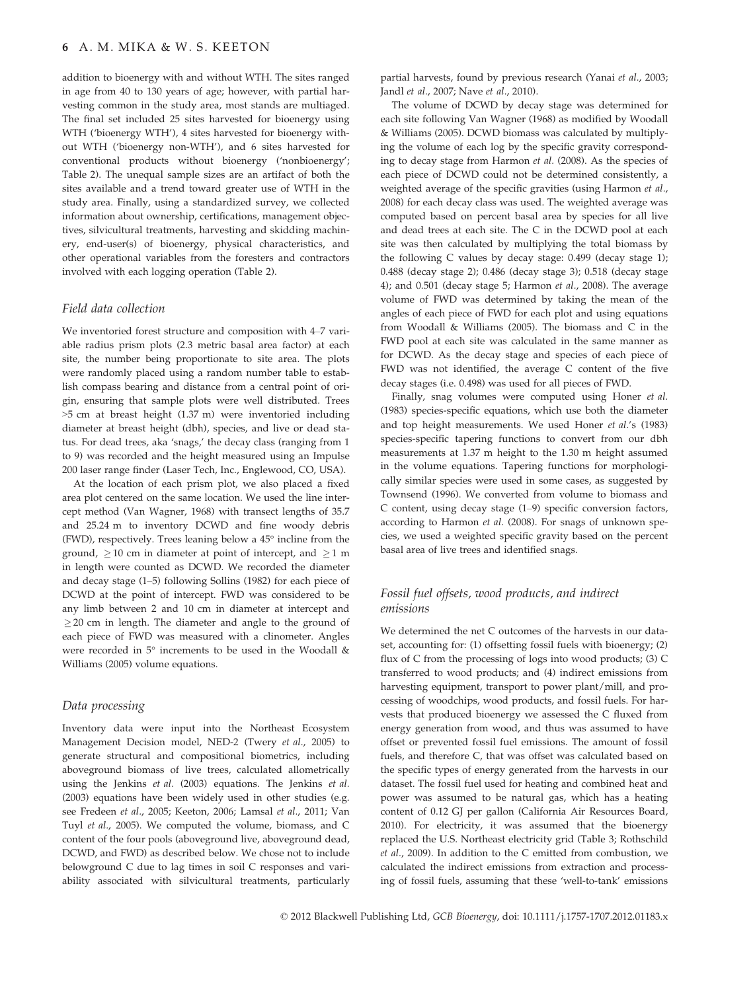#### 6 A. M. MIKA & W. S. KEETON

addition to bioenergy with and without WTH. The sites ranged in age from 40 to 130 years of age; however, with partial harvesting common in the study area, most stands are multiaged. The final set included 25 sites harvested for bioenergy using WTH ('bioenergy WTH'), 4 sites harvested for bioenergy without WTH ('bioenergy non-WTH'), and 6 sites harvested for conventional products without bioenergy ('nonbioenergy'; Table 2). The unequal sample sizes are an artifact of both the sites available and a trend toward greater use of WTH in the study area. Finally, using a standardized survey, we collected information about ownership, certifications, management objectives, silvicultural treatments, harvesting and skidding machinery, end-user(s) of bioenergy, physical characteristics, and other operational variables from the foresters and contractors involved with each logging operation (Table 2).

#### Field data collection

We inventoried forest structure and composition with 4–7 variable radius prism plots (2.3 metric basal area factor) at each site, the number being proportionate to site area. The plots were randomly placed using a random number table to establish compass bearing and distance from a central point of origin, ensuring that sample plots were well distributed. Trees >5 cm at breast height (1.37 m) were inventoried including diameter at breast height (dbh), species, and live or dead status. For dead trees, aka 'snags,' the decay class (ranging from 1 to 9) was recorded and the height measured using an Impulse 200 laser range finder (Laser Tech, Inc., Englewood, CO, USA).

At the location of each prism plot, we also placed a fixed area plot centered on the same location. We used the line intercept method (Van Wagner, 1968) with transect lengths of 35.7 and 25.24 m to inventory DCWD and fine woody debris (FWD), respectively. Trees leaning below a 45° incline from the ground,  $> 10$  cm in diameter at point of intercept, and  $> 1$  m in length were counted as DCWD. We recorded the diameter and decay stage (1–5) following Sollins (1982) for each piece of DCWD at the point of intercept. FWD was considered to be any limb between 2 and 10 cm in diameter at intercept and  $\geq$  20 cm in length. The diameter and angle to the ground of each piece of FWD was measured with a clinometer. Angles were recorded in 5° increments to be used in the Woodall & Williams (2005) volume equations.

#### Data processing

Inventory data were input into the Northeast Ecosystem Management Decision model, NED-2 (Twery et al., 2005) to generate structural and compositional biometrics, including aboveground biomass of live trees, calculated allometrically using the Jenkins et al. (2003) equations. The Jenkins et al. (2003) equations have been widely used in other studies (e.g. see Fredeen et al., 2005; Keeton, 2006; Lamsal et al., 2011; Van Tuyl et al., 2005). We computed the volume, biomass, and C content of the four pools (aboveground live, aboveground dead, DCWD, and FWD) as described below. We chose not to include belowground C due to lag times in soil C responses and variability associated with silvicultural treatments, particularly

partial harvests, found by previous research (Yanai et al., 2003; Jandl et al., 2007; Nave et al., 2010).

The volume of DCWD by decay stage was determined for each site following Van Wagner (1968) as modified by Woodall & Williams (2005). DCWD biomass was calculated by multiplying the volume of each log by the specific gravity corresponding to decay stage from Harmon et al. (2008). As the species of each piece of DCWD could not be determined consistently, a weighted average of the specific gravities (using Harmon et al., 2008) for each decay class was used. The weighted average was computed based on percent basal area by species for all live and dead trees at each site. The C in the DCWD pool at each site was then calculated by multiplying the total biomass by the following C values by decay stage: 0.499 (decay stage 1); 0.488 (decay stage 2); 0.486 (decay stage 3); 0.518 (decay stage 4); and 0.501 (decay stage 5; Harmon et al., 2008). The average volume of FWD was determined by taking the mean of the angles of each piece of FWD for each plot and using equations from Woodall & Williams (2005). The biomass and C in the FWD pool at each site was calculated in the same manner as for DCWD. As the decay stage and species of each piece of FWD was not identified, the average C content of the five decay stages (i.e. 0.498) was used for all pieces of FWD.

Finally, snag volumes were computed using Honer et al. (1983) species-specific equations, which use both the diameter and top height measurements. We used Honer et al.'s (1983) species-specific tapering functions to convert from our dbh measurements at 1.37 m height to the 1.30 m height assumed in the volume equations. Tapering functions for morphologically similar species were used in some cases, as suggested by Townsend (1996). We converted from volume to biomass and C content, using decay stage (1–9) specific conversion factors, according to Harmon et al. (2008). For snags of unknown species, we used a weighted specific gravity based on the percent basal area of live trees and identified snags.

#### Fossil fuel offsets, wood products, and indirect emissions

We determined the net C outcomes of the harvests in our dataset, accounting for: (1) offsetting fossil fuels with bioenergy; (2) flux of C from the processing of logs into wood products; (3) C transferred to wood products; and (4) indirect emissions from harvesting equipment, transport to power plant/mill, and processing of woodchips, wood products, and fossil fuels. For harvests that produced bioenergy we assessed the C fluxed from energy generation from wood, and thus was assumed to have offset or prevented fossil fuel emissions. The amount of fossil fuels, and therefore C, that was offset was calculated based on the specific types of energy generated from the harvests in our dataset. The fossil fuel used for heating and combined heat and power was assumed to be natural gas, which has a heating content of 0.12 GJ per gallon (California Air Resources Board, 2010). For electricity, it was assumed that the bioenergy replaced the U.S. Northeast electricity grid (Table 3; Rothschild et al., 2009). In addition to the C emitted from combustion, we calculated the indirect emissions from extraction and processing of fossil fuels, assuming that these 'well-to-tank' emissions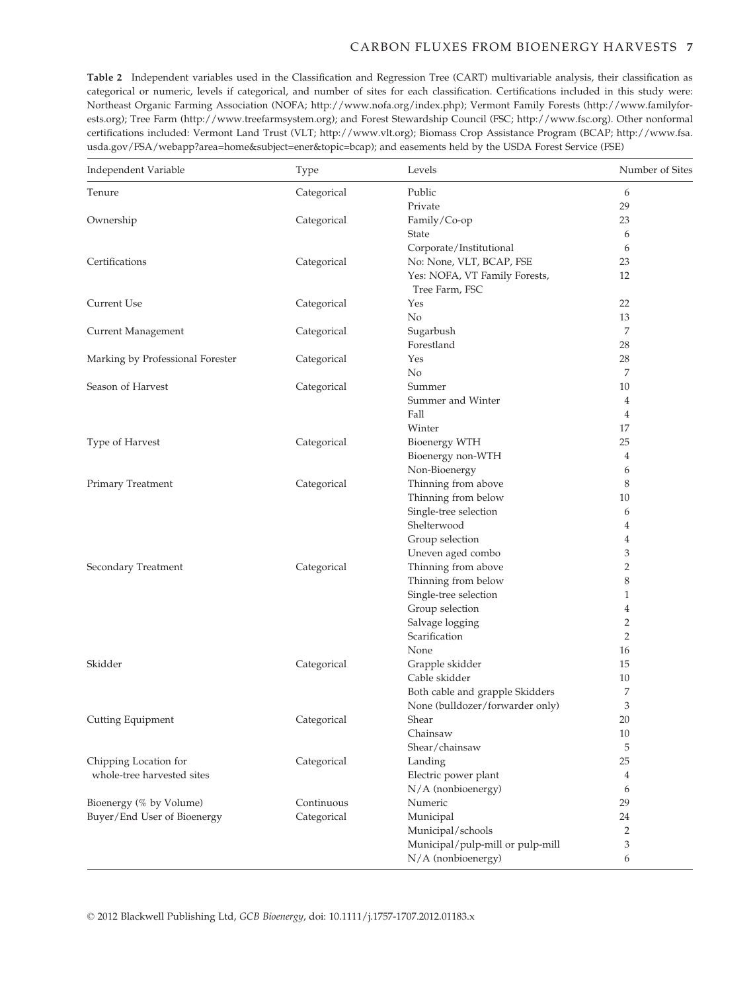#### CARBON FLUXES FROM BIOENERGY HARVESTS 7

Table 2 Independent variables used in the Classification and Regression Tree (CART) multivariable analysis, their classification as categorical or numeric, levels if categorical, and number of sites for each classification. Certifications included in this study were: Northeast Organic Farming Association (NOFA; http://www.nofa.org/index.php); Vermont Family Forests (http://www.familyforests.org); Tree Farm (http://www.treefarmsystem.org); and Forest Stewardship Council (FSC; http://www.fsc.org). Other nonformal certifications included: Vermont Land Trust (VLT; http://www.vlt.org); Biomass Crop Assistance Program (BCAP; http://www.fsa. usda.gov/FSA/webapp?area=home&subject=ener&topic=bcap); and easements held by the USDA Forest Service (FSE)

| Independent Variable             | Type        | Levels                           | Number of Sites |
|----------------------------------|-------------|----------------------------------|-----------------|
| Tenure                           | Categorical | Public                           | 6               |
|                                  |             | Private                          | 29              |
| Ownership                        | Categorical | Family/Co-op                     | 23              |
|                                  |             | State                            | 6               |
|                                  |             | Corporate/Institutional          | 6               |
| Certifications                   | Categorical | No: None, VLT, BCAP, FSE         | 23              |
|                                  |             | Yes: NOFA, VT Family Forests,    | 12              |
|                                  |             | Tree Farm, FSC                   |                 |
| Current Use                      | Categorical | Yes                              | 22              |
|                                  |             | No                               | 13              |
| Current Management               | Categorical | Sugarbush                        | 7               |
|                                  |             | Forestland                       | 28              |
| Marking by Professional Forester | Categorical | Yes                              | 28              |
|                                  |             | No                               | 7               |
| Season of Harvest                | Categorical | Summer                           | 10              |
|                                  |             | Summer and Winter                | 4               |
|                                  |             | Fall                             | 4               |
|                                  |             | Winter                           | 17              |
| Type of Harvest                  | Categorical | Bioenergy WTH                    | 25              |
|                                  |             | Bioenergy non-WTH                | 4               |
|                                  |             | Non-Bioenergy                    | 6               |
| Primary Treatment                | Categorical | Thinning from above              | 8               |
|                                  |             | Thinning from below              | 10              |
|                                  |             | Single-tree selection            | 6               |
|                                  |             | Shelterwood                      | 4               |
|                                  |             | Group selection                  | 4               |
|                                  |             | Uneven aged combo                | 3               |
| Secondary Treatment              | Categorical | Thinning from above              | 2               |
|                                  |             | Thinning from below              | 8               |
|                                  |             | Single-tree selection            | 1               |
|                                  |             | Group selection                  | 4               |
|                                  |             | Salvage logging                  | $\overline{2}$  |
|                                  |             | Scarification                    | $\overline{2}$  |
|                                  |             | None                             | 16              |
| Skidder                          | Categorical | Grapple skidder                  | 15              |
|                                  |             | Cable skidder                    | 10              |
|                                  |             | Both cable and grapple Skidders  | 7               |
|                                  |             | None (bulldozer/forwarder only)  | 3               |
| Cutting Equipment                | Categorical | Shear                            | 20              |
|                                  |             | Chainsaw                         | 10              |
|                                  |             | Shear/chainsaw                   | 5               |
| Chipping Location for            | Categorical | Landing                          | 25              |
| whole-tree harvested sites       |             | Electric power plant             | 4               |
|                                  |             | N/A (nonbioenergy)               | 6               |
| Bioenergy (% by Volume)          | Continuous  | Numeric                          | 29              |
| Buyer/End User of Bioenergy      | Categorical | Municipal                        | 24              |
|                                  |             | Municipal/schools                | 2               |
|                                  |             | Municipal/pulp-mill or pulp-mill | 3               |
|                                  |             | N/A (nonbioenergy)               | 6               |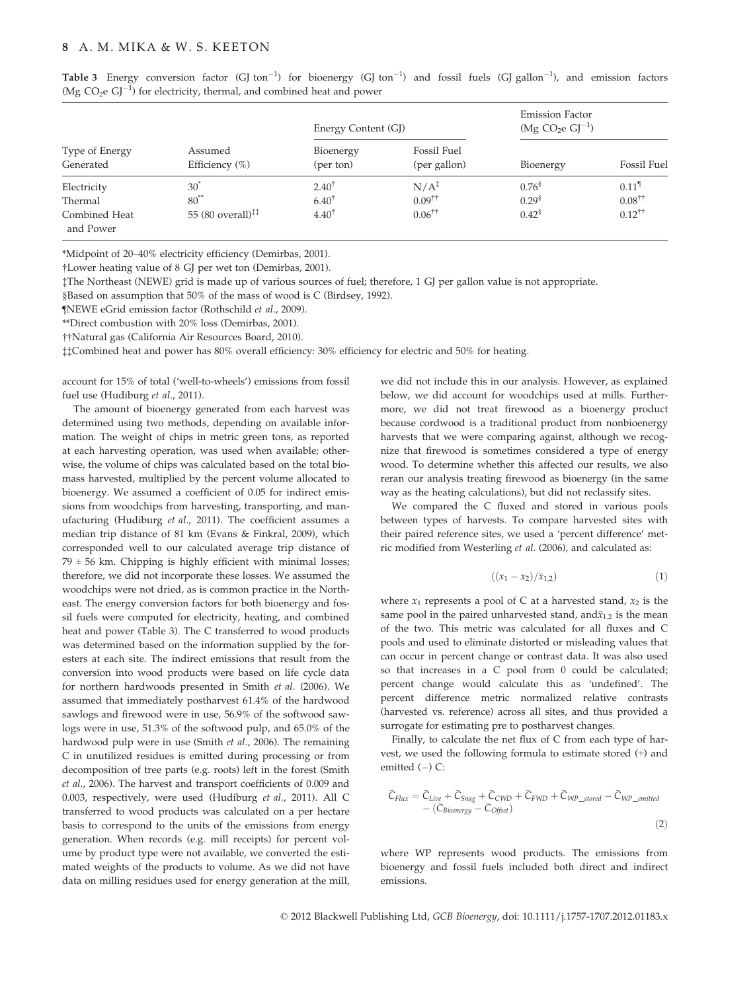#### 8 A. M. MIKA & W. S. KEETON

|  |                                                                                      |  |  |  |  | Table 3 Energy conversion factor (GJ ton <sup>-1</sup> ) for bioenergy (GJ ton <sup>-1</sup> ) and fossil fuels (GJ gallon <sup>-1</sup> ), and emission factors |  |  |
|--|--------------------------------------------------------------------------------------|--|--|--|--|------------------------------------------------------------------------------------------------------------------------------------------------------------------|--|--|
|  | (Mg $CO_2e$ GJ <sup>-1</sup> ) for electricity, thermal, and combined heat and power |  |  |  |  |                                                                                                                                                                  |  |  |

|                                                      |                                                                                      | Energy Content (GJ)                                      |                                                                     | <b>Emission Factor</b><br>$(Mg CO2e GJ-1)$     |                                                                           |  |
|------------------------------------------------------|--------------------------------------------------------------------------------------|----------------------------------------------------------|---------------------------------------------------------------------|------------------------------------------------|---------------------------------------------------------------------------|--|
| Type of Energy<br>Generated                          | Assumed<br>Efficiency (%)                                                            | Bioenergy<br>(per ton)                                   | <b>Fossil Fuel</b><br>(per gallon)                                  | Bioenergy                                      | <b>Fossil Fuel</b>                                                        |  |
| Electricity<br>Thermal<br>Combined Heat<br>and Power | $30^{\degree}$<br>$80^*$<br>55 (80 overall) <sup><math>\ddagger\ddagger</math></sup> | $2.40^{\dagger}$<br>$6.40^{\dagger}$<br>$4.40^{\dagger}$ | N/A <sup>2</sup><br>$0.09$ <sup>††</sup><br>$0.06^{\dagger\dagger}$ | $0.76^{8}$<br>0.29 <sup>§</sup><br>$0.42^{\$}$ | $0.11$ <sup>1</sup><br>$0.08^{\dagger\dagger}$<br>$0.12^{\dagger\dagger}$ |  |

\*Midpoint of 20–40% electricity efficiency (Demirbas, 2001).

†Lower heating value of 8 GJ per wet ton (Demirbas, 2001).

‡The Northeast (NEWE) grid is made up of various sources of fuel; therefore, 1 GJ per gallon value is not appropriate.

§Based on assumption that 50% of the mass of wood is C (Birdsey, 1992).

¶NEWE eGrid emission factor (Rothschild et al., 2009).

\*\*Direct combustion with 20% loss (Demirbas, 2001).

††Natural gas (California Air Resources Board, 2010).

‡‡Combined heat and power has 80% overall efficiency: 30% efficiency for electric and 50% for heating.

account for 15% of total ('well-to-wheels') emissions from fossil fuel use (Hudiburg et al., 2011).

The amount of bioenergy generated from each harvest was determined using two methods, depending on available information. The weight of chips in metric green tons, as reported at each harvesting operation, was used when available; otherwise, the volume of chips was calculated based on the total biomass harvested, multiplied by the percent volume allocated to bioenergy. We assumed a coefficient of 0.05 for indirect emissions from woodchips from harvesting, transporting, and manufacturing (Hudiburg et al., 2011). The coefficient assumes a median trip distance of 81 km (Evans & Finkral, 2009), which corresponded well to our calculated average trip distance of  $79 \pm 56$  km. Chipping is highly efficient with minimal losses; therefore, we did not incorporate these losses. We assumed the woodchips were not dried, as is common practice in the Northeast. The energy conversion factors for both bioenergy and fossil fuels were computed for electricity, heating, and combined heat and power (Table 3). The C transferred to wood products was determined based on the information supplied by the foresters at each site. The indirect emissions that result from the conversion into wood products were based on life cycle data for northern hardwoods presented in Smith et al. (2006). We assumed that immediately postharvest 61.4% of the hardwood sawlogs and firewood were in use, 56.9% of the softwood sawlogs were in use, 51.3% of the softwood pulp, and 65.0% of the hardwood pulp were in use (Smith et al., 2006). The remaining C in unutilized residues is emitted during processing or from decomposition of tree parts (e.g. roots) left in the forest (Smith et al., 2006). The harvest and transport coefficients of 0.009 and 0.003, respectively, were used (Hudiburg et al., 2011). All C transferred to wood products was calculated on a per hectare basis to correspond to the units of the emissions from energy generation. When records (e.g. mill receipts) for percent volume by product type were not available, we converted the estimated weights of the products to volume. As we did not have data on milling residues used for energy generation at the mill,

we did not include this in our analysis. However, as explained below, we did account for woodchips used at mills. Furthermore, we did not treat firewood as a bioenergy product because cordwood is a traditional product from nonbioenergy harvests that we were comparing against, although we recognize that firewood is sometimes considered a type of energy wood. To determine whether this affected our results, we also reran our analysis treating firewood as bioenergy (in the same way as the heating calculations), but did not reclassify sites.

We compared the C fluxed and stored in various pools between types of harvests. To compare harvested sites with their paired reference sites, we used a 'percent difference' metric modified from Westerling et al. (2006), and calculated as:

$$
((x_1 - x_2)/\bar{x}_{1,2}) \tag{1}
$$

where  $x_1$  represents a pool of C at a harvested stand,  $x_2$  is the same pool in the paired unharvested stand, and  $\bar{x}_{1,2}$  is the mean of the two. This metric was calculated for all fluxes and C pools and used to eliminate distorted or misleading values that can occur in percent change or contrast data. It was also used so that increases in a C pool from 0 could be calculated; percent change would calculate this as 'undefined'. The percent difference metric normalized relative contrasts (harvested vs. reference) across all sites, and thus provided a surrogate for estimating pre to postharvest changes.

Finally, to calculate the net flux of C from each type of harvest, we used the following formula to estimate stored (+) and emitted  $(-)$  C:

$$
\bar{C}_{Flux} = \bar{C}_{Live} + \bar{C}_{Snag} + \bar{C}_{CWD} + \bar{C}_{FWD} + \bar{C}_{WP\_stored} - \bar{C}_{WP\_emitted} - (\bar{C}_{Bioenergy} - \bar{C}_{Offset})
$$
\n(2)

where WP represents wood products. The emissions from bioenergy and fossil fuels included both direct and indirect emissions.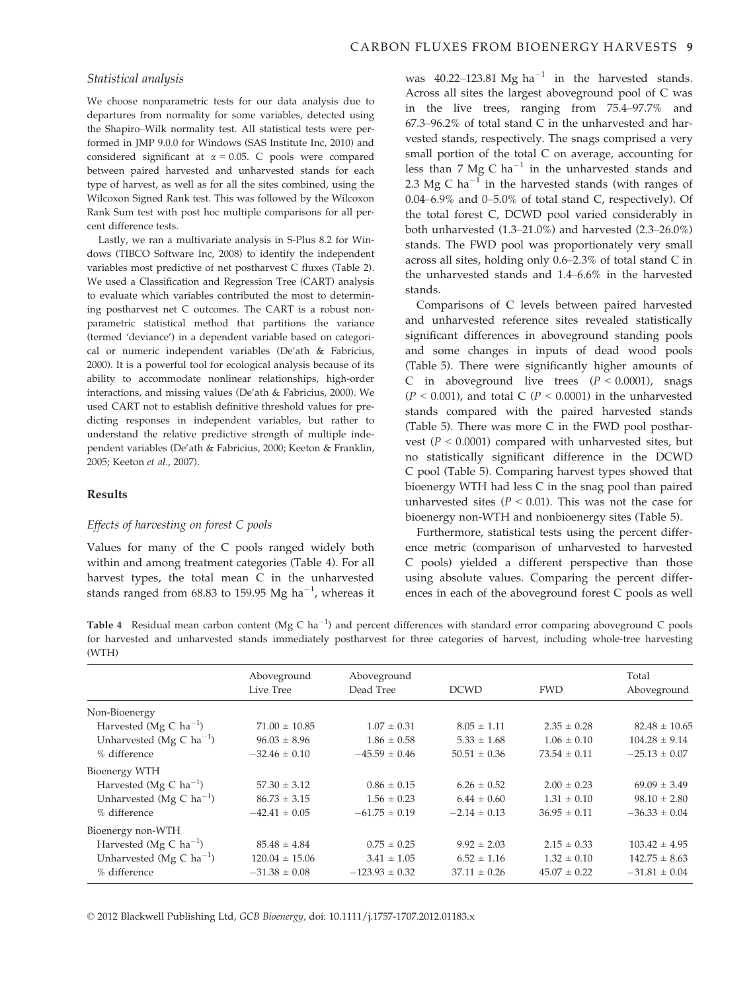#### Statistical analysis

We choose nonparametric tests for our data analysis due to departures from normality for some variables, detected using the Shapiro–Wilk normality test. All statistical tests were performed in JMP 9.0.0 for Windows (SAS Institute Inc, 2010) and considered significant at  $\alpha = 0.05$ . C pools were compared between paired harvested and unharvested stands for each type of harvest, as well as for all the sites combined, using the Wilcoxon Signed Rank test. This was followed by the Wilcoxon Rank Sum test with post hoc multiple comparisons for all percent difference tests.

Lastly, we ran a multivariate analysis in S-Plus 8.2 for Windows (TIBCO Software Inc, 2008) to identify the independent variables most predictive of net postharvest C fluxes (Table 2). We used a Classification and Regression Tree (CART) analysis to evaluate which variables contributed the most to determining postharvest net C outcomes. The CART is a robust nonparametric statistical method that partitions the variance (termed 'deviance') in a dependent variable based on categorical or numeric independent variables (De'ath & Fabricius, 2000). It is a powerful tool for ecological analysis because of its ability to accommodate nonlinear relationships, high-order interactions, and missing values (De'ath & Fabricius, 2000). We used CART not to establish definitive threshold values for predicting responses in independent variables, but rather to understand the relative predictive strength of multiple independent variables (De'ath & Fabricius, 2000; Keeton & Franklin, 2005; Keeton et al., 2007).

#### Results

#### Effects of harvesting on forest C pools

Values for many of the C pools ranged widely both within and among treatment categories (Table 4). For all harvest types, the total mean C in the unharvested stands ranged from 68.83 to 159.95 Mg ha<sup>-1</sup>, whereas it

was 40.22–123.81 Mg ha<sup>-1</sup> in the harvested stands. Across all sites the largest aboveground pool of C was in the live trees, ranging from 75.4–97.7% and 67.3–96.2% of total stand C in the unharvested and harvested stands, respectively. The snags comprised a very small portion of the total C on average, accounting for less than 7 Mg C ha<sup>-1</sup> in the unharvested stands and 2.3 Mg C ha<sup>-1</sup> in the harvested stands (with ranges of 0.04–6.9% and 0–5.0% of total stand C, respectively). Of the total forest C, DCWD pool varied considerably in both unharvested (1.3–21.0%) and harvested (2.3–26.0%) stands. The FWD pool was proportionately very small across all sites, holding only 0.6–2.3% of total stand C in the unharvested stands and 1.4–6.6% in the harvested stands.

Comparisons of C levels between paired harvested and unharvested reference sites revealed statistically significant differences in aboveground standing pools and some changes in inputs of dead wood pools (Table 5). There were significantly higher amounts of C in aboveground live trees  $(P < 0.0001)$ , snags  $(P < 0.001)$ , and total C  $(P < 0.0001)$  in the unharvested stands compared with the paired harvested stands (Table 5). There was more C in the FWD pool postharvest ( $P < 0.0001$ ) compared with unharvested sites, but no statistically significant difference in the DCWD C pool (Table 5). Comparing harvest types showed that bioenergy WTH had less C in the snag pool than paired unharvested sites ( $P < 0.01$ ). This was not the case for bioenergy non-WTH and nonbioenergy sites (Table 5).

Furthermore, statistical tests using the percent difference metric (comparison of unharvested to harvested C pools) yielded a different perspective than those using absolute values. Comparing the percent differences in each of the aboveground forest C pools as well

Table 4 Residual mean carbon content (Mg C ha<sup>-1</sup>) and percent differences with standard error comparing aboveground C pools for harvested and unharvested stands immediately postharvest for three categories of harvest, including whole-tree harvesting (WTH)

|                                      | Aboveground        | Aboveground        |                  |                  | Total             |
|--------------------------------------|--------------------|--------------------|------------------|------------------|-------------------|
|                                      | Live Tree          | Dead Tree          | <b>DCWD</b>      | <b>FWD</b>       | Aboveground       |
| Non-Bioenergy                        |                    |                    |                  |                  |                   |
| Harvested (Mg C $ha^{-1}$ )          | $71.00 \pm 10.85$  | $1.07 \pm 0.31$    | $8.05 \pm 1.11$  | $2.35 \pm 0.28$  | $82.48 \pm 10.65$ |
| Unharvested (Mg C $ha^{-1}$ )        | $96.03 \pm 8.96$   | $1.86 \pm 0.58$    | $5.33 \pm 1.68$  | $1.06 \pm 0.10$  | $104.28 \pm 9.14$ |
| % difference                         | $-32.46 \pm 0.10$  | $-45.59 \pm 0.46$  | $50.51 \pm 0.36$ | $73.54 \pm 0.11$ | $-25.13 \pm 0.07$ |
| Bioenergy WTH                        |                    |                    |                  |                  |                   |
| Harvested (Mg C $ha^{-1}$ )          | $57.30 \pm 3.12$   | $0.86 \pm 0.15$    | $6.26 \pm 0.52$  | $2.00 \pm 0.23$  | $69.09 \pm 3.49$  |
| Unharvested (Mg C ha <sup>-1</sup> ) | $86.73 \pm 3.15$   | $1.56 \pm 0.23$    | $6.44 \pm 0.60$  | $1.31 \pm 0.10$  | $98.10 \pm 2.80$  |
| % difference                         | $-42.41 \pm 0.05$  | $-61.75 \pm 0.19$  | $-2.14 \pm 0.13$ | $36.95 \pm 0.11$ | $-36.33 \pm 0.04$ |
| Bioenergy non-WTH                    |                    |                    |                  |                  |                   |
| Harvested (Mg C ha <sup>-1</sup> )   | $85.48 \pm 4.84$   | $0.75 \pm 0.25$    | $9.92 \pm 2.03$  | $2.15 \pm 0.33$  | $103.42 \pm 4.95$ |
| Unharvested (Mg C $ha^{-1}$ )        | $120.04 \pm 15.06$ | $3.41 \pm 1.05$    | $6.52 \pm 1.16$  | $1.32 \pm 0.10$  | $142.75 \pm 8.63$ |
| % difference                         | $-31.38 \pm 0.08$  | $-123.93 \pm 0.32$ | $37.11 \pm 0.26$ | $45.07 \pm 0.22$ | $-31.81 \pm 0.04$ |

© 2012 Blackwell Publishing Ltd, GCB Bioenergy, doi: 10.1111/j.1757-1707.2012.01183.x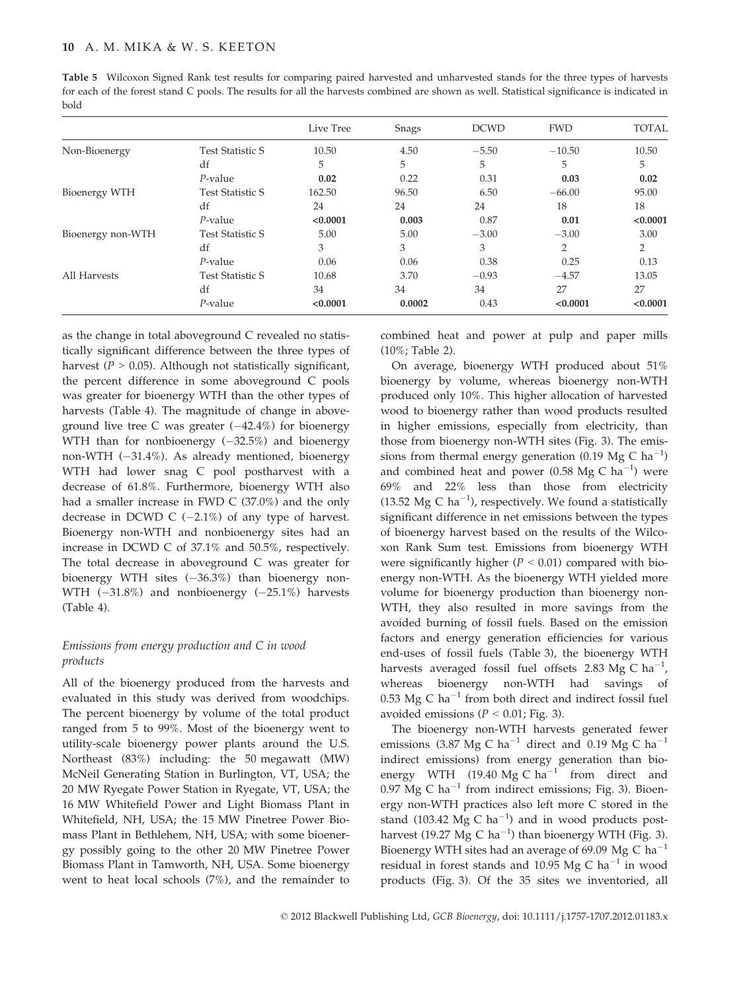Table 5 Wilcoxon Signed Rank test results for comparing paired harvested and unharvested stands for the three types of harvests for each of the forest stand C pools. The results for all the harvests combined are shown as well. Statistical significance is indicated in bold

|                   |                         | Live Tree | Snags  | <b>DCWD</b> | <b>FWD</b> | <b>TOTAL</b> |
|-------------------|-------------------------|-----------|--------|-------------|------------|--------------|
| Non-Bioenergy     | <b>Test Statistic S</b> | 10.50     | 4.50   | $-5.50$     | $-10.50$   | 10.50        |
|                   | df                      | 5         | 5      | 5           | 5          | 5            |
|                   | $P$ -value              | 0.02      | 0.22   | 0.31        | 0.03       | 0.02         |
| Bioenergy WTH     | <b>Test Statistic S</b> | 162.50    | 96.50  | 6.50        | $-66.00$   | 95.00        |
|                   | df                      | 24        | 24     | 24          | 18         | 18           |
|                   | $P$ -value              | < 0.0001  | 0.003  | 0.87        | 0.01       | < 0.0001     |
| Bioenergy non-WTH | <b>Test Statistic S</b> | 5.00      | 5.00   | $-3.00$     | $-3.00$    | 3.00         |
|                   | df                      | 3         | 3      | 3           | 2          | 2            |
|                   | $P$ -value              | 0.06      | 0.06   | 0.38        | 0.25       | 0.13         |
| All Harvests      | <b>Test Statistic S</b> | 10.68     | 3.70   | $-0.93$     | $-4.57$    | 13.05        |
|                   | df                      | 34        | 34     | 34          | 27         | 27           |
|                   | $P$ -value              | < 0.0001  | 0.0002 | 0.43        | < 0.0001   | < 0.0001     |

as the change in total aboveground C revealed no statistically significant difference between the three types of harvest ( $P > 0.05$ ). Although not statistically significant, the percent difference in some aboveground C pools was greater for bioenergy WTH than the other types of harvests (Table 4). The magnitude of change in aboveground live tree C was greater  $(-42.4\%)$  for bioenergy WTH than for nonbioenergy  $(-32.5%)$  and bioenergy non-WTH (-31.4%). As already mentioned, bioenergy WTH had lower snag C pool postharvest with a decrease of 61.8%. Furthermore, bioenergy WTH also had a smaller increase in FWD C (37.0%) and the only decrease in DCWD C  $(-2.1\%)$  of any type of harvest. Bioenergy non-WTH and nonbioenergy sites had an increase in DCWD C of 37.1% and 50.5%, respectively. The total decrease in aboveground C was greater for bioenergy WTH sites  $(-36.3%)$  than bioenergy non-WTH  $(-31.8\%)$  and nonbioenergy  $(-25.1\%)$  harvests (Table 4).

#### Emissions from energy production and C in wood products

All of the bioenergy produced from the harvests and evaluated in this study was derived from woodchips. The percent bioenergy by volume of the total product ranged from 5 to 99%. Most of the bioenergy went to utility-scale bioenergy power plants around the U.S. Northeast (83%) including: the 50 megawatt (MW) McNeil Generating Station in Burlington, VT, USA; the 20 MW Ryegate Power Station in Ryegate, VT, USA; the 16 MW Whitefield Power and Light Biomass Plant in Whitefield, NH, USA; the 15 MW Pinetree Power Biomass Plant in Bethlehem, NH, USA; with some bioenergy possibly going to the other 20 MW Pinetree Power Biomass Plant in Tamworth, NH, USA. Some bioenergy went to heat local schools (7%), and the remainder to combined heat and power at pulp and paper mills (10%; Table 2).

On average, bioenergy WTH produced about 51% bioenergy by volume, whereas bioenergy non-WTH produced only 10%. This higher allocation of harvested wood to bioenergy rather than wood products resulted in higher emissions, especially from electricity, than those from bioenergy non-WTH sites (Fig. 3). The emissions from thermal energy generation (0.19 Mg C  $ha^{-1}$ ) and combined heat and power (0.58 Mg C ha $^{-1}$ ) were 69% and 22% less than those from electricity (13.52 Mg C  $ha^{-1}$ ), respectively. We found a statistically significant difference in net emissions between the types of bioenergy harvest based on the results of the Wilcoxon Rank Sum test. Emissions from bioenergy WTH were significantly higher ( $P < 0.01$ ) compared with bioenergy non-WTH. As the bioenergy WTH yielded more volume for bioenergy production than bioenergy non-WTH, they also resulted in more savings from the avoided burning of fossil fuels. Based on the emission factors and energy generation efficiencies for various end-uses of fossil fuels (Table 3), the bioenergy WTH harvests averaged fossil fuel offsets 2.83 Mg C  $ha^{-1}$ , whereas bioenergy non-WTH had savings of 0.53 Mg C ha<sup>-1</sup> from both direct and indirect fossil fuel avoided emissions ( $P < 0.01$ ; Fig. 3).

The bioenergy non-WTH harvests generated fewer emissions (3.87 Mg C ha<sup>-1</sup> direct and 0.19 Mg C ha<sup>-1</sup> indirect emissions) from energy generation than bioenergy WTH (19.40  $Mg$  C ha<sup>-1</sup> from direct and 0.97 Mg C ha<sup>-1</sup> from indirect emissions; Fig. 3). Bioenergy non-WTH practices also left more C stored in the stand (103.42 Mg C ha<sup>-1</sup>) and in wood products postharvest (19.27 Mg C ha<sup>-1</sup>) than bioenergy WTH (Fig. 3). Bioenergy WTH sites had an average of 69.09 Mg C ha<sup>-1</sup> residual in forest stands and 10.95 Mg C ha<sup>-1</sup> in wood products (Fig. 3). Of the 35 sites we inventoried, all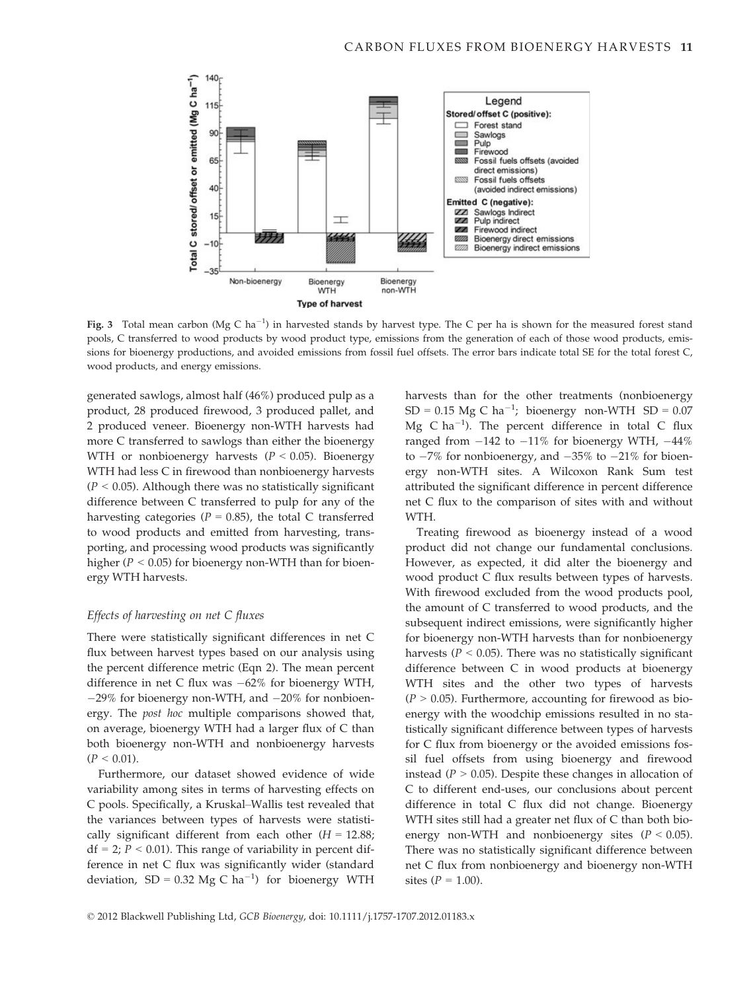

Fig. 3 Total mean carbon (Mg C ha<sup>-1</sup>) in harvested stands by harvest type. The C per ha is shown for the measured forest stand pools, C transferred to wood products by wood product type, emissions from the generation of each of those wood products, emissions for bioenergy productions, and avoided emissions from fossil fuel offsets. The error bars indicate total SE for the total forest C, wood products, and energy emissions.

generated sawlogs, almost half (46%) produced pulp as a product, 28 produced firewood, 3 produced pallet, and 2 produced veneer. Bioenergy non-WTH harvests had more C transferred to sawlogs than either the bioenergy WTH or nonbioenergy harvests ( $P < 0.05$ ). Bioenergy WTH had less C in firewood than nonbioenergy harvests  $(P < 0.05)$ . Although there was no statistically significant difference between C transferred to pulp for any of the harvesting categories ( $P = 0.85$ ), the total C transferred to wood products and emitted from harvesting, transporting, and processing wood products was significantly higher ( $P < 0.05$ ) for bioenergy non-WTH than for bioenergy WTH harvests.

#### Effects of harvesting on net C fluxes

There were statistically significant differences in net C flux between harvest types based on our analysis using the percent difference metric (Eqn 2). The mean percent difference in net C flux was  $-62\%$  for bioenergy WTH,  $-29\%$  for bioenergy non-WTH, and  $-20\%$  for nonbioenergy. The post hoc multiple comparisons showed that, on average, bioenergy WTH had a larger flux of C than both bioenergy non-WTH and nonbioenergy harvests  $(P < 0.01)$ .

Furthermore, our dataset showed evidence of wide variability among sites in terms of harvesting effects on C pools. Specifically, a Kruskal–Wallis test revealed that the variances between types of harvests were statistically significant different from each other  $(H = 12.88)$ ;  $df = 2$ ;  $P < 0.01$ ). This range of variability in percent difference in net C flux was significantly wider (standard deviation,  $SD = 0.32$  Mg C ha<sup>-1</sup>) for bioenergy WTH

harvests than for the other treatments (nonbioenergy  $SD = 0.15$  Mg C ha<sup>-1</sup>; bioenergy non-WTH SD = 0.07 Mg C ha<sup>-1</sup>). The percent difference in total C flux ranged from  $-142$  to  $-11\%$  for bioenergy WTH,  $-44\%$ to  $-7\%$  for nonbioenergy, and  $-35\%$  to  $-21\%$  for bioenergy non-WTH sites. A Wilcoxon Rank Sum test attributed the significant difference in percent difference net C flux to the comparison of sites with and without WTH.

Treating firewood as bioenergy instead of a wood product did not change our fundamental conclusions. However, as expected, it did alter the bioenergy and wood product C flux results between types of harvests. With firewood excluded from the wood products pool, the amount of C transferred to wood products, and the subsequent indirect emissions, were significantly higher for bioenergy non-WTH harvests than for nonbioenergy harvests ( $P < 0.05$ ). There was no statistically significant difference between C in wood products at bioenergy WTH sites and the other two types of harvests  $(P > 0.05)$ . Furthermore, accounting for firewood as bioenergy with the woodchip emissions resulted in no statistically significant difference between types of harvests for C flux from bioenergy or the avoided emissions fossil fuel offsets from using bioenergy and firewood instead ( $P > 0.05$ ). Despite these changes in allocation of C to different end-uses, our conclusions about percent difference in total C flux did not change. Bioenergy WTH sites still had a greater net flux of C than both bioenergy non-WTH and nonbioenergy sites  $(P < 0.05)$ . There was no statistically significant difference between net C flux from nonbioenergy and bioenergy non-WTH sites  $(P = 1.00)$ .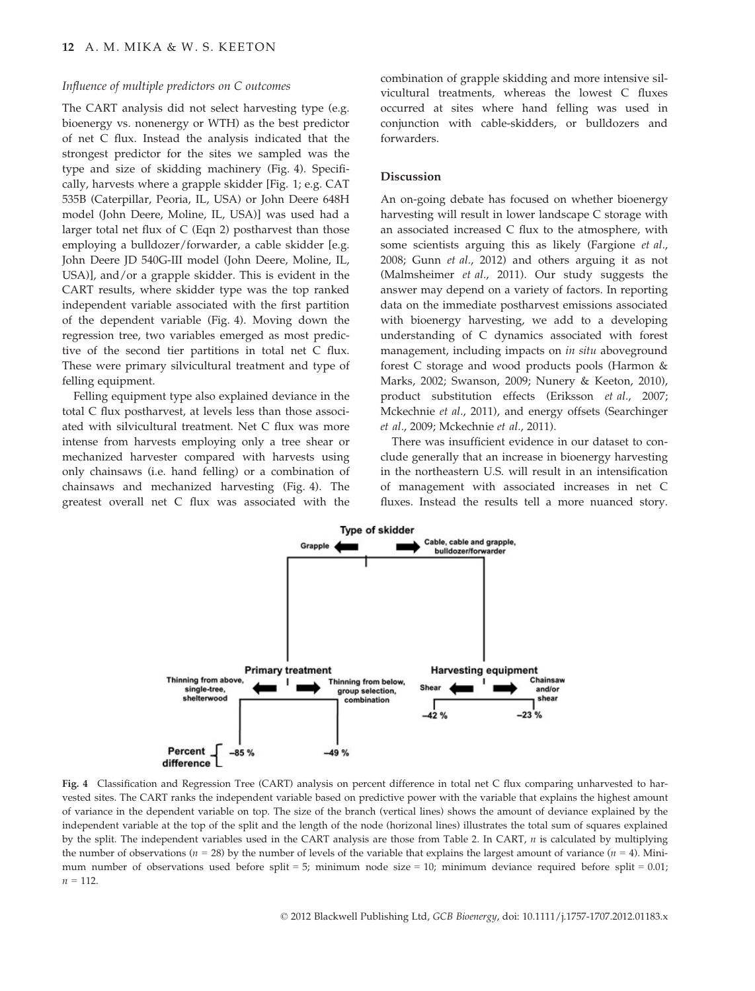#### Influence of multiple predictors on C outcomes

The CART analysis did not select harvesting type (e.g. bioenergy vs. nonenergy or WTH) as the best predictor of net C flux. Instead the analysis indicated that the strongest predictor for the sites we sampled was the type and size of skidding machinery (Fig. 4). Specifically, harvests where a grapple skidder [Fig. 1; e.g. CAT 535B (Caterpillar, Peoria, IL, USA) or John Deere 648H model (John Deere, Moline, IL, USA)] was used had a larger total net flux of C (Eqn 2) postharvest than those employing a bulldozer/forwarder, a cable skidder [e.g. John Deere JD 540G-III model (John Deere, Moline, IL, USA)], and/or a grapple skidder. This is evident in the CART results, where skidder type was the top ranked independent variable associated with the first partition of the dependent variable (Fig. 4). Moving down the regression tree, two variables emerged as most predictive of the second tier partitions in total net C flux. These were primary silvicultural treatment and type of felling equipment.

Felling equipment type also explained deviance in the total C flux postharvest, at levels less than those associated with silvicultural treatment. Net C flux was more intense from harvests employing only a tree shear or mechanized harvester compared with harvests using only chainsaws (i.e. hand felling) or a combination of chainsaws and mechanized harvesting (Fig. 4). The greatest overall net C flux was associated with the combination of grapple skidding and more intensive silvicultural treatments, whereas the lowest C fluxes occurred at sites where hand felling was used in conjunction with cable-skidders, or bulldozers and forwarders.

#### Discussion

An on-going debate has focused on whether bioenergy harvesting will result in lower landscape C storage with an associated increased C flux to the atmosphere, with some scientists arguing this as likely (Fargione et al., 2008; Gunn et al., 2012) and others arguing it as not (Malmsheimer et al., 2011). Our study suggests the answer may depend on a variety of factors. In reporting data on the immediate postharvest emissions associated with bioenergy harvesting, we add to a developing understanding of C dynamics associated with forest management, including impacts on in situ aboveground forest C storage and wood products pools (Harmon & Marks, 2002; Swanson, 2009; Nunery & Keeton, 2010), product substitution effects (Eriksson et al., 2007; Mckechnie et al., 2011), and energy offsets (Searchinger et al., 2009; Mckechnie et al., 2011).

There was insufficient evidence in our dataset to conclude generally that an increase in bioenergy harvesting in the northeastern U.S. will result in an intensification of management with associated increases in net C fluxes. Instead the results tell a more nuanced story.



Fig. 4 Classification and Regression Tree (CART) analysis on percent difference in total net C flux comparing unharvested to harvested sites. The CART ranks the independent variable based on predictive power with the variable that explains the highest amount of variance in the dependent variable on top. The size of the branch (vertical lines) shows the amount of deviance explained by the independent variable at the top of the split and the length of the node (horizonal lines) illustrates the total sum of squares explained by the split. The independent variables used in the CART analysis are those from Table 2. In CART,  $n$  is calculated by multiplying the number of observations ( $n = 28$ ) by the number of levels of the variable that explains the largest amount of variance ( $n = 4$ ). Minimum number of observations used before split = 5; minimum node size = 10; minimum deviance required before split = 0.01;  $n = 112$ .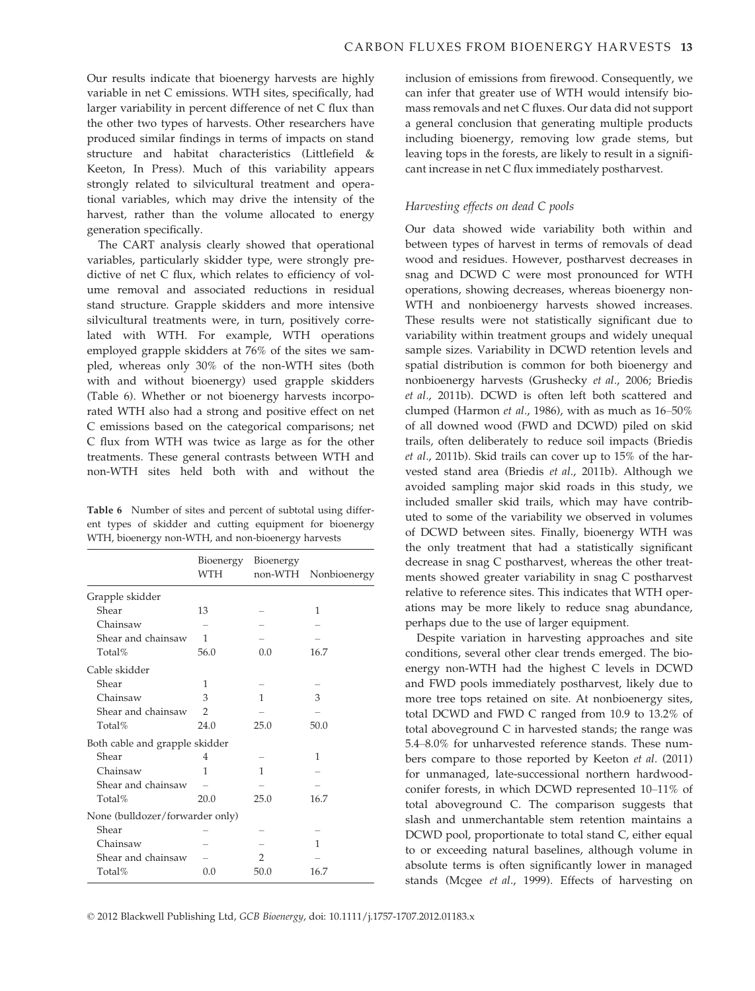Our results indicate that bioenergy harvests are highly variable in net C emissions. WTH sites, specifically, had larger variability in percent difference of net C flux than the other two types of harvests. Other researchers have produced similar findings in terms of impacts on stand structure and habitat characteristics (Littlefield & Keeton, In Press). Much of this variability appears strongly related to silvicultural treatment and operational variables, which may drive the intensity of the harvest, rather than the volume allocated to energy generation specifically.

The CART analysis clearly showed that operational variables, particularly skidder type, were strongly predictive of net C flux, which relates to efficiency of volume removal and associated reductions in residual stand structure. Grapple skidders and more intensive silvicultural treatments were, in turn, positively correlated with WTH. For example, WTH operations employed grapple skidders at 76% of the sites we sampled, whereas only 30% of the non-WTH sites (both with and without bioenergy) used grapple skidders (Table 6). Whether or not bioenergy harvests incorporated WTH also had a strong and positive effect on net C emissions based on the categorical comparisons; net C flux from WTH was twice as large as for the other treatments. These general contrasts between WTH and non-WTH sites held both with and without the

Table 6 Number of sites and percent of subtotal using different types of skidder and cutting equipment for bioenergy WTH, bioenergy non-WTH, and non-bioenergy harvests

|                                 | Bioenergy<br><b>WTH</b> | Bioenergy<br>non-WTH | Nonbioenergy |
|---------------------------------|-------------------------|----------------------|--------------|
| Grapple skidder                 |                         |                      |              |
| Shear                           | 13                      |                      | 1            |
| Chainsaw                        |                         |                      |              |
| Shear and chainsaw              | 1                       |                      |              |
| Total%                          | 56.0                    | 0.0                  | 16.7         |
| Cable skidder                   |                         |                      |              |
| Shear                           | 1                       |                      |              |
| Chainsaw                        | 3                       | 1                    | 3            |
| Shear and chainsaw              | $\overline{2}$          |                      |              |
| Total%                          | 24.0                    | 25.0                 | 50.0         |
| Both cable and grapple skidder  |                         |                      |              |
| Shear                           | 4                       |                      | 1            |
| Chainsaw                        | 1                       | 1                    |              |
| Shear and chainsaw              |                         |                      |              |
| Total%                          | 20.0                    | 25.0                 | 16.7         |
| None (bulldozer/forwarder only) |                         |                      |              |
| Shear                           |                         |                      |              |
| Chainsaw                        |                         |                      | 1            |
| Shear and chainsaw              |                         | $\overline{2}$       |              |
| Total%                          | 0.0                     | 50.0                 | 16.7         |

inclusion of emissions from firewood. Consequently, we can infer that greater use of WTH would intensify biomass removals and net C fluxes. Our data did not support a general conclusion that generating multiple products including bioenergy, removing low grade stems, but leaving tops in the forests, are likely to result in a significant increase in net C flux immediately postharvest.

#### Harvesting effects on dead C pools

Our data showed wide variability both within and between types of harvest in terms of removals of dead wood and residues. However, postharvest decreases in snag and DCWD C were most pronounced for WTH operations, showing decreases, whereas bioenergy non-WTH and nonbioenergy harvests showed increases. These results were not statistically significant due to variability within treatment groups and widely unequal sample sizes. Variability in DCWD retention levels and spatial distribution is common for both bioenergy and nonbioenergy harvests (Grushecky et al., 2006; Briedis et al., 2011b). DCWD is often left both scattered and clumped (Harmon et al., 1986), with as much as 16–50% of all downed wood (FWD and DCWD) piled on skid trails, often deliberately to reduce soil impacts (Briedis et al., 2011b). Skid trails can cover up to 15% of the harvested stand area (Briedis et al., 2011b). Although we avoided sampling major skid roads in this study, we included smaller skid trails, which may have contributed to some of the variability we observed in volumes of DCWD between sites. Finally, bioenergy WTH was the only treatment that had a statistically significant decrease in snag C postharvest, whereas the other treatments showed greater variability in snag C postharvest relative to reference sites. This indicates that WTH operations may be more likely to reduce snag abundance, perhaps due to the use of larger equipment.

Despite variation in harvesting approaches and site conditions, several other clear trends emerged. The bioenergy non-WTH had the highest C levels in DCWD and FWD pools immediately postharvest, likely due to more tree tops retained on site. At nonbioenergy sites, total DCWD and FWD C ranged from 10.9 to 13.2% of total aboveground C in harvested stands; the range was 5.4–8.0% for unharvested reference stands. These numbers compare to those reported by Keeton et al. (2011) for unmanaged, late-successional northern hardwoodconifer forests, in which DCWD represented 10–11% of total aboveground C. The comparison suggests that slash and unmerchantable stem retention maintains a DCWD pool, proportionate to total stand C, either equal to or exceeding natural baselines, although volume in absolute terms is often significantly lower in managed stands (Mcgee et al., 1999). Effects of harvesting on

© 2012 Blackwell Publishing Ltd, GCB Bioenergy, doi: 10.1111/j.1757-1707.2012.01183.x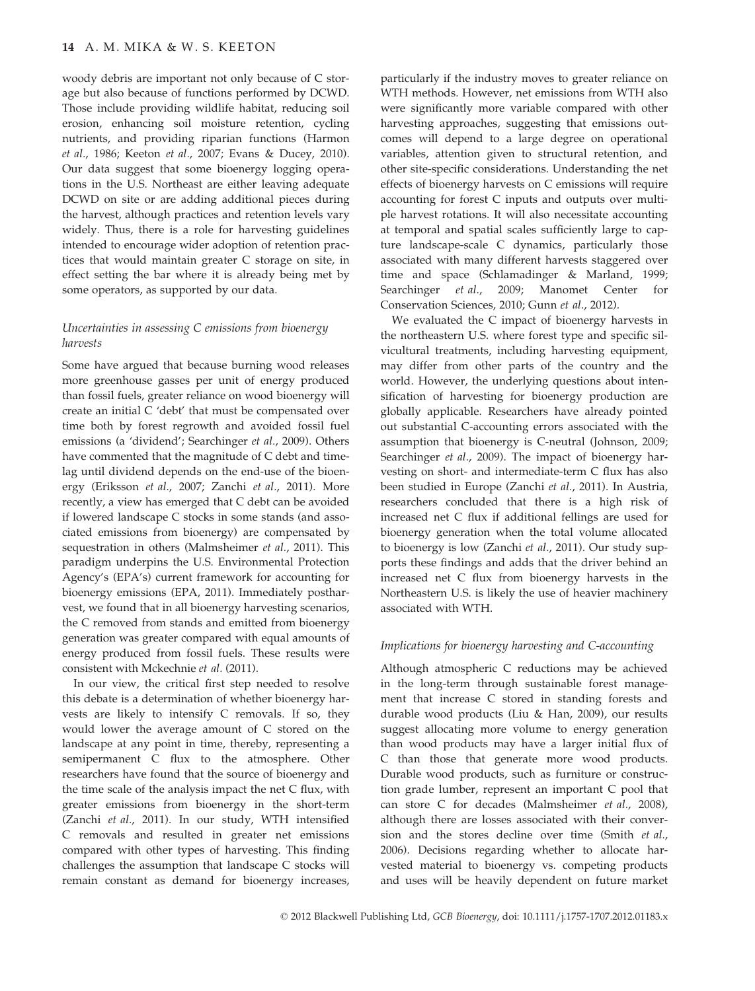woody debris are important not only because of C storage but also because of functions performed by DCWD. Those include providing wildlife habitat, reducing soil erosion, enhancing soil moisture retention, cycling nutrients, and providing riparian functions (Harmon et al., 1986; Keeton et al., 2007; Evans & Ducey, 2010). Our data suggest that some bioenergy logging operations in the U.S. Northeast are either leaving adequate DCWD on site or are adding additional pieces during the harvest, although practices and retention levels vary widely. Thus, there is a role for harvesting guidelines intended to encourage wider adoption of retention practices that would maintain greater C storage on site, in effect setting the bar where it is already being met by some operators, as supported by our data.

#### Uncertainties in assessing C emissions from bioenergy harvests

Some have argued that because burning wood releases more greenhouse gasses per unit of energy produced than fossil fuels, greater reliance on wood bioenergy will create an initial C 'debt' that must be compensated over time both by forest regrowth and avoided fossil fuel emissions (a 'dividend'; Searchinger et al., 2009). Others have commented that the magnitude of C debt and timelag until dividend depends on the end-use of the bioenergy (Eriksson et al., 2007; Zanchi et al., 2011). More recently, a view has emerged that C debt can be avoided if lowered landscape C stocks in some stands (and associated emissions from bioenergy) are compensated by sequestration in others (Malmsheimer et al., 2011). This paradigm underpins the U.S. Environmental Protection Agency's (EPA's) current framework for accounting for bioenergy emissions (EPA, 2011). Immediately postharvest, we found that in all bioenergy harvesting scenarios, the C removed from stands and emitted from bioenergy generation was greater compared with equal amounts of energy produced from fossil fuels. These results were consistent with Mckechnie et al. (2011).

In our view, the critical first step needed to resolve this debate is a determination of whether bioenergy harvests are likely to intensify C removals. If so, they would lower the average amount of C stored on the landscape at any point in time, thereby, representing a semipermanent C flux to the atmosphere. Other researchers have found that the source of bioenergy and the time scale of the analysis impact the net C flux, with greater emissions from bioenergy in the short-term (Zanchi et al., 2011). In our study, WTH intensified C removals and resulted in greater net emissions compared with other types of harvesting. This finding challenges the assumption that landscape C stocks will remain constant as demand for bioenergy increases,

particularly if the industry moves to greater reliance on WTH methods. However, net emissions from WTH also were significantly more variable compared with other harvesting approaches, suggesting that emissions outcomes will depend to a large degree on operational variables, attention given to structural retention, and other site-specific considerations. Understanding the net effects of bioenergy harvests on C emissions will require accounting for forest C inputs and outputs over multiple harvest rotations. It will also necessitate accounting at temporal and spatial scales sufficiently large to capture landscape-scale C dynamics, particularly those associated with many different harvests staggered over time and space (Schlamadinger & Marland, 1999; Searchinger et al., 2009; Manomet Center for Conservation Sciences, 2010; Gunn et al., 2012).

We evaluated the C impact of bioenergy harvests in the northeastern U.S. where forest type and specific silvicultural treatments, including harvesting equipment, may differ from other parts of the country and the world. However, the underlying questions about intensification of harvesting for bioenergy production are globally applicable. Researchers have already pointed out substantial C-accounting errors associated with the assumption that bioenergy is C-neutral (Johnson, 2009; Searchinger et al., 2009). The impact of bioenergy harvesting on short- and intermediate-term C flux has also been studied in Europe (Zanchi et al., 2011). In Austria, researchers concluded that there is a high risk of increased net C flux if additional fellings are used for bioenergy generation when the total volume allocated to bioenergy is low (Zanchi et al., 2011). Our study supports these findings and adds that the driver behind an increased net C flux from bioenergy harvests in the Northeastern U.S. is likely the use of heavier machinery associated with WTH.

#### Implications for bioenergy harvesting and C-accounting

Although atmospheric C reductions may be achieved in the long-term through sustainable forest management that increase C stored in standing forests and durable wood products (Liu & Han, 2009), our results suggest allocating more volume to energy generation than wood products may have a larger initial flux of C than those that generate more wood products. Durable wood products, such as furniture or construction grade lumber, represent an important C pool that can store C for decades (Malmsheimer et al., 2008), although there are losses associated with their conversion and the stores decline over time (Smith et al., 2006). Decisions regarding whether to allocate harvested material to bioenergy vs. competing products and uses will be heavily dependent on future market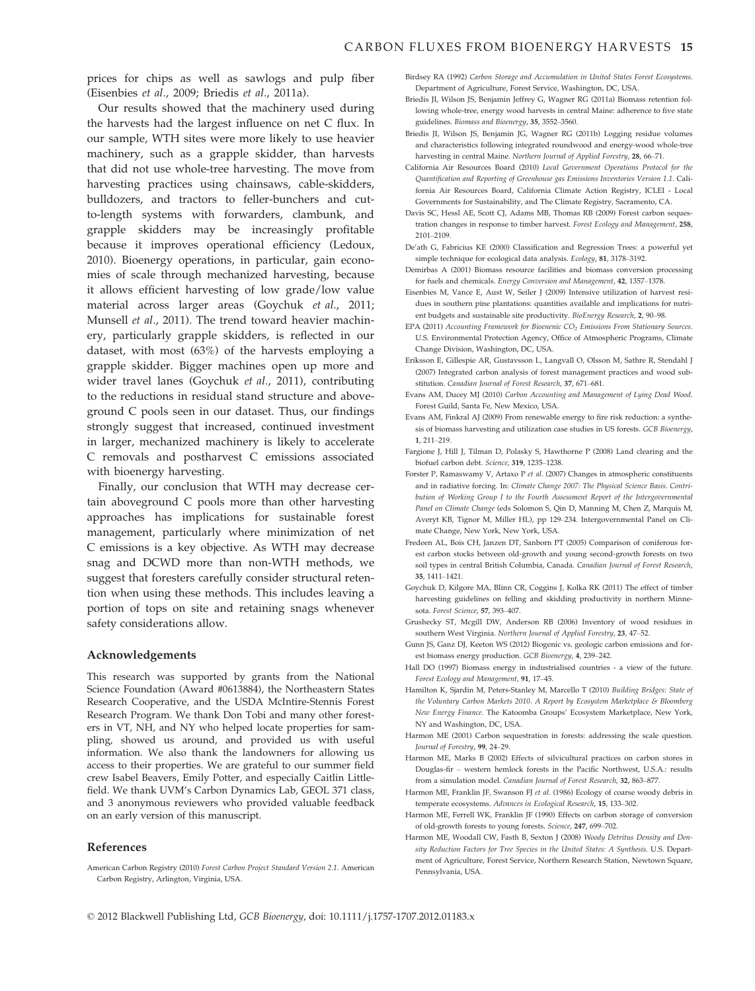prices for chips as well as sawlogs and pulp fiber (Eisenbies et al., 2009; Briedis et al., 2011a).

Our results showed that the machinery used during the harvests had the largest influence on net C flux. In our sample, WTH sites were more likely to use heavier machinery, such as a grapple skidder, than harvests that did not use whole-tree harvesting. The move from harvesting practices using chainsaws, cable-skidders, bulldozers, and tractors to feller-bunchers and cutto-length systems with forwarders, clambunk, and grapple skidders may be increasingly profitable because it improves operational efficiency (Ledoux, 2010). Bioenergy operations, in particular, gain economies of scale through mechanized harvesting, because it allows efficient harvesting of low grade/low value material across larger areas (Goychuk et al., 2011; Munsell et al., 2011). The trend toward heavier machinery, particularly grapple skidders, is reflected in our dataset, with most (63%) of the harvests employing a grapple skidder. Bigger machines open up more and wider travel lanes (Goychuk et al., 2011), contributing to the reductions in residual stand structure and aboveground C pools seen in our dataset. Thus, our findings strongly suggest that increased, continued investment in larger, mechanized machinery is likely to accelerate C removals and postharvest C emissions associated with bioenergy harvesting.

Finally, our conclusion that WTH may decrease certain aboveground C pools more than other harvesting approaches has implications for sustainable forest management, particularly where minimization of net C emissions is a key objective. As WTH may decrease snag and DCWD more than non-WTH methods, we suggest that foresters carefully consider structural retention when using these methods. This includes leaving a portion of tops on site and retaining snags whenever safety considerations allow.

#### Acknowledgements

This research was supported by grants from the National Science Foundation (Award #0613884), the Northeastern States Research Cooperative, and the USDA McIntire-Stennis Forest Research Program. We thank Don Tobi and many other foresters in VT, NH, and NY who helped locate properties for sampling, showed us around, and provided us with useful information. We also thank the landowners for allowing us access to their properties. We are grateful to our summer field crew Isabel Beavers, Emily Potter, and especially Caitlin Littlefield. We thank UVM's Carbon Dynamics Lab, GEOL 371 class, and 3 anonymous reviewers who provided valuable feedback on an early version of this manuscript.

#### References

Birdsey RA (1992) Carbon Storage and Accumulation in United States Forest Ecosystems. Department of Agriculture, Forest Service, Washington, DC, USA.

- Briedis II, Wilson JS, Benjamin Jeffrey G, Wagner RG (2011a) Biomass retention following whole-tree, energy wood harvests in central Maine: adherence to five state guidelines. Biomass and Bioenergy, 35, 3552–3560.
- Briedis JI, Wilson JS, Benjamin JG, Wagner RG (2011b) Logging residue volumes and characteristics following integrated roundwood and energy-wood whole-tree harvesting in central Maine. Northern Journal of Applied Forestry, 28, 66–71.
- California Air Resources Board (2010) Local Government Operations Protocol for the Quantification and Reporting of Greenhouse gas Emissions Inventories Version 1.1. California Air Resources Board, California Climate Action Registry, ICLEI - Local Governments for Sustainability, and The Climate Registry, Sacramento, CA.
- Davis SC, Hessl AE, Scott CJ, Adams MB, Thomas RB (2009) Forest carbon sequestration changes in response to timber harvest. Forest Ecology and Management, 258, 2101–2109.
- De'ath G, Fabricius KE (2000) Classification and Regression Trees: a powerful yet simple technique for ecological data analysis. Ecology, 81, 3178–3192.
- Demirbas A (2001) Biomass resource facilities and biomass conversion processing for fuels and chemicals. Energy Conversion and Management, 42, 1357–1378.
- Eisenbies M, Vance E, Aust W, Seiler J (2009) Intensive utilization of harvest residues in southern pine plantations: quantities available and implications for nutrient budgets and sustainable site productivity. BioEnergy Research, 2, 90–98.
- EPA (2011) Accounting Framework for Bioenenic CO<sub>2</sub> Emissions From Stationary Sources. U.S. Environmental Protection Agency, Office of Atmospheric Programs, Climate Change Division, Washington, DC, USA.
- Eriksson E, Gillespie AR, Gustavsson L, Langvall O, Olsson M, Sathre R, Stendahl J (2007) Integrated carbon analysis of forest management practices and wood substitution. Canadian Journal of Forest Research, 37, 671–681.
- Evans AM, Ducey MJ (2010) Carbon Accounting and Management of Lying Dead Wood. Forest Guild, Santa Fe, New Mexico, USA.
- Evans AM, Finkral AJ (2009) From renewable energy to fire risk reduction: a synthesis of biomass harvesting and utilization case studies in US forests. GCB Bioenergy, 1, 211–219.
- Fargione J, Hill J, Tilman D, Polasky S, Hawthorne P (2008) Land clearing and the biofuel carbon debt. Science, 319, 1235–1238.
- Forster P, Ramaswamy V, Artaxo P et al. (2007) Changes in atmospheric constituents and in radiative forcing. In: Climate Change 2007: The Physical Science Basis. Contribution of Working Group I to the Fourth Assessment Report of the Intergovernmental Panel on Climate Change (eds Solomon S, Qin D, Manning M, Chen Z, Marquis M, Averyt KB, Tignor M, Miller HL), pp 129–234. Intergovernmental Panel on Climate Change, New York, New York, USA.
- Fredeen AL, Bois CH, Janzen DT, Sanborn PT (2005) Comparison of coniferous forest carbon stocks between old-growth and young second-growth forests on two soil types in central British Columbia, Canada. Canadian Journal of Forest Research, 35, 1411–1421.
- Goychuk D, Kilgore MA, Blinn CR, Coggins J, Kolka RK (2011) The effect of timber harvesting guidelines on felling and skidding productivity in northern Minnesota. Forest Science, 57, 393–407.
- Grushecky ST, Mcgill DW, Anderson RB (2006) Inventory of wood residues in southern West Virginia. Northern Journal of Applied Forestry, 23, 47–52.
- Gunn JS, Ganz DJ, Keeton WS (2012) Biogenic vs. geologic carbon emissions and forest biomass energy production. GCB Bioenergy, 4, 239–242.
- Hall DO (1997) Biomass energy in industrialised countries a view of the future. Forest Ecology and Management, 91, 17–45.
- Hamilton K, Sjardin M, Peters-Stanley M, Marcello T (2010) Building Bridges: State of the Voluntary Carbon Markets 2010. A Report by Ecosystem Marketplace & Bloomberg New Energy Finance. The Katoomba Groups' Ecosystem Marketplace, New York, NY and Washington, DC, USA.
- Harmon ME (2001) Carbon sequestration in forests: addressing the scale question. Journal of Forestry, 99, 24–29.
- Harmon ME, Marks B (2002) Effects of silvicultural practices on carbon stores in Douglas-fir – western hemlock forests in the Pacific Northwest, U.S.A.: results from a simulation model. Canadian Journal of Forest Research, 32, 863–877.
- Harmon ME, Franklin JF, Swanson FJ et al. (1986) Ecology of coarse woody debris in temperate ecosystems. Advances in Ecological Research, 15, 133–302.
- Harmon ME, Ferrell WK, Franklin JF (1990) Effects on carbon storage of conversion of old-growth forests to young forests. Science, 247, 699–702.
- Harmon ME, Woodall CW, Fasth B, Sexton J (2008) Woody Detritus Density and Density Reduction Factors for Tree Species in the United States: A Synthesis. U.S. Department of Agriculture, Forest Service, Northern Research Station, Newtown Square, Pennsylvania, USA.

American Carbon Registry (2010) Forest Carbon Project Standard Version 2.1. American Carbon Registry, Arlington, Virginia, USA.